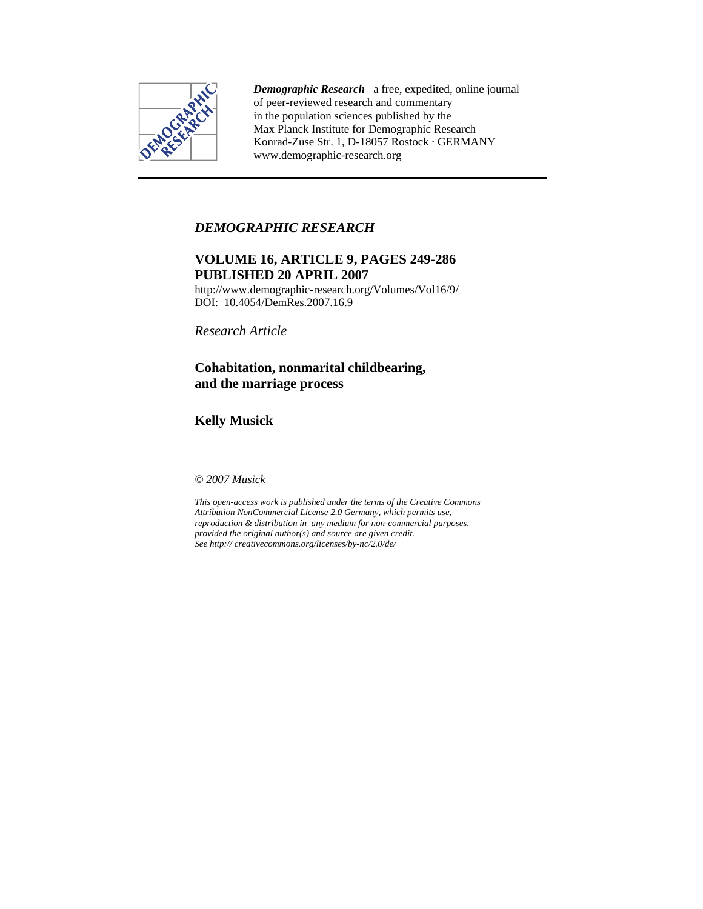

*Demographic Research* a free, expedited, online journal of peer-reviewed research and commentary in the population sciences published by the Max Planck Institute for Demographic Research Konrad-Zuse Str. 1, D-18057 Rostock · GERMANY www.demographic-research.org

# *DEMOGRAPHIC RESEARCH*

# **VOLUME 16, ARTICLE 9, PAGES 249-286 PUBLISHED 20 APRIL 2007**

http://www.demographic-research.org/Volumes/Vol16/9/ DOI: 10.4054/DemRes.2007.16.9

*Research Article* 

# **Cohabitation, nonmarital childbearing, and the marriage process**

**Kelly Musick** 

*© 2007 Musick* 

*This open-access work is published under the terms of the Creative Commons Attribution NonCommercial License 2.0 Germany, which permits use, reproduction & distribution in any medium for non-commercial purposes, provided the original author(s) and source are given credit. See http:// creativecommons.org/licenses/by-nc/2.0/de/*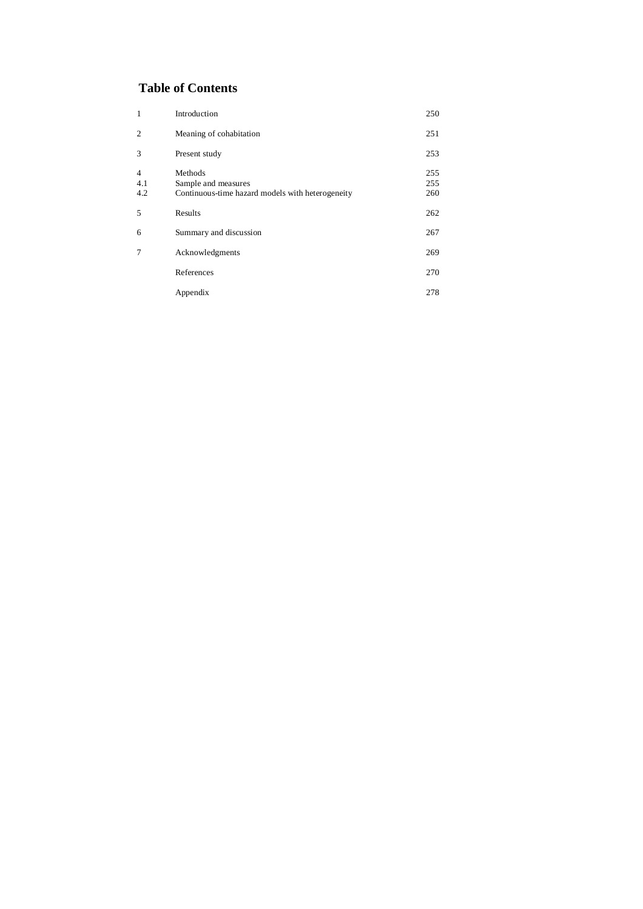# **Table of Contents**

| $\mathbf{1}$                 | Introduction                                                                       | 250               |
|------------------------------|------------------------------------------------------------------------------------|-------------------|
| $\overline{c}$               | Meaning of cohabitation                                                            | 251               |
| 3                            | Present study                                                                      | 253               |
| $\overline{4}$<br>4.1<br>4.2 | Methods<br>Sample and measures<br>Continuous-time hazard models with heterogeneity | 255<br>255<br>260 |
| 5                            | Results                                                                            | 262               |
| 6                            | Summary and discussion                                                             | 267               |
| 7                            | Acknowledgments                                                                    | 269               |
|                              | References                                                                         | 270               |
|                              | Appendix                                                                           | 278               |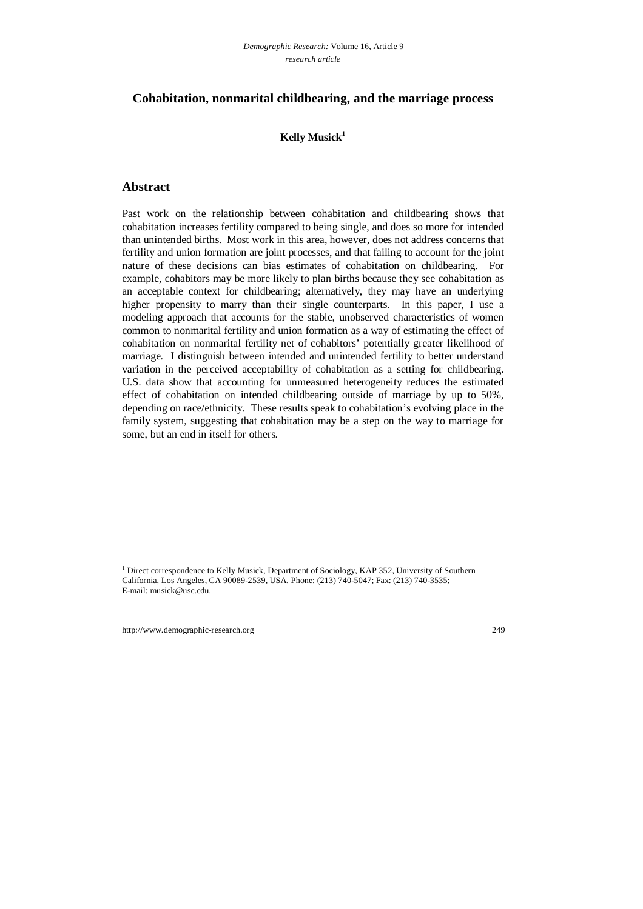# **Cohabitation, nonmarital childbearing, and the marriage process**

## **Kelly Musick1**

## **Abstract**

Past work on the relationship between cohabitation and childbearing shows that cohabitation increases fertility compared to being single, and does so more for intended than unintended births. Most work in this area, however, does not address concerns that fertility and union formation are joint processes, and that failing to account for the joint nature of these decisions can bias estimates of cohabitation on childbearing. For example, cohabitors may be more likely to plan births because they see cohabitation as an acceptable context for childbearing; alternatively, they may have an underlying higher propensity to marry than their single counterparts. In this paper, I use a modeling approach that accounts for the stable, unobserved characteristics of women common to nonmarital fertility and union formation as a way of estimating the effect of cohabitation on nonmarital fertility net of cohabitors' potentially greater likelihood of marriage. I distinguish between intended and unintended fertility to better understand variation in the perceived acceptability of cohabitation as a setting for childbearing. U.S. data show that accounting for unmeasured heterogeneity reduces the estimated effect of cohabitation on intended childbearing outside of marriage by up to 50%, depending on race/ethnicity. These results speak to cohabitation's evolving place in the family system, suggesting that cohabitation may be a step on the way to marriage for some, but an end in itself for others.

<sup>1&</sup>lt;br>
<sup>1</sup> Direct correspondence to Kelly Musick, Department of Sociology, KAP 352, University of Southern California, Los Angeles, CA 90089-2539, USA. Phone: (213) 740-5047; Fax: (213) 740-3535; E-mail: musick@usc.edu.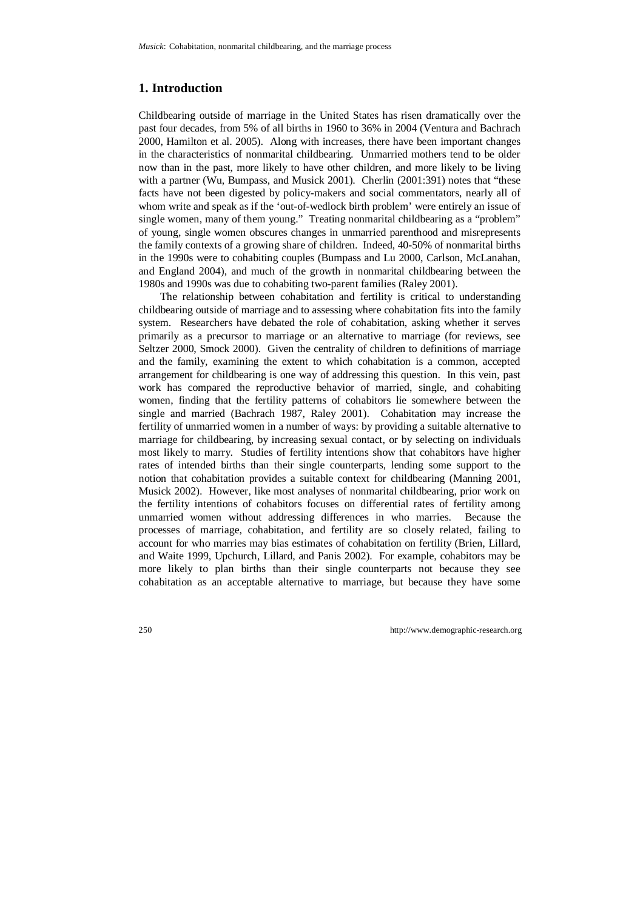# **1. Introduction**

Childbearing outside of marriage in the United States has risen dramatically over the past four decades, from 5% of all births in 1960 to 36% in 2004 (Ventura and Bachrach 2000, Hamilton et al. 2005). Along with increases, there have been important changes in the characteristics of nonmarital childbearing. Unmarried mothers tend to be older now than in the past, more likely to have other children, and more likely to be living with a partner (Wu, Bumpass, and Musick 2001). Cherlin (2001:391) notes that "these facts have not been digested by policy-makers and social commentators, nearly all of whom write and speak as if the 'out-of-wedlock birth problem' were entirely an issue of single women, many of them young." Treating nonmarital childbearing as a "problem" of young, single women obscures changes in unmarried parenthood and misrepresents the family contexts of a growing share of children. Indeed, 40-50% of nonmarital births in the 1990s were to cohabiting couples (Bumpass and Lu 2000, Carlson, McLanahan, and England 2004), and much of the growth in nonmarital childbearing between the 1980s and 1990s was due to cohabiting two-parent families (Raley 2001).

The relationship between cohabitation and fertility is critical to understanding childbearing outside of marriage and to assessing where cohabitation fits into the family system. Researchers have debated the role of cohabitation, asking whether it serves primarily as a precursor to marriage or an alternative to marriage (for reviews, see Seltzer 2000, Smock 2000). Given the centrality of children to definitions of marriage and the family, examining the extent to which cohabitation is a common, accepted arrangement for childbearing is one way of addressing this question. In this vein, past work has compared the reproductive behavior of married, single, and cohabiting women, finding that the fertility patterns of cohabitors lie somewhere between the single and married (Bachrach 1987, Raley 2001). Cohabitation may increase the fertility of unmarried women in a number of ways: by providing a suitable alternative to marriage for childbearing, by increasing sexual contact, or by selecting on individuals most likely to marry. Studies of fertility intentions show that cohabitors have higher rates of intended births than their single counterparts, lending some support to the notion that cohabitation provides a suitable context for childbearing (Manning 2001, Musick 2002). However, like most analyses of nonmarital childbearing, prior work on the fertility intentions of cohabitors focuses on differential rates of fertility among unmarried women without addressing differences in who marries. Because the processes of marriage, cohabitation, and fertility are so closely related, failing to account for who marries may bias estimates of cohabitation on fertility (Brien, Lillard, and Waite 1999, Upchurch, Lillard, and Panis 2002). For example, cohabitors may be more likely to plan births than their single counterparts not because they see cohabitation as an acceptable alternative to marriage, but because they have some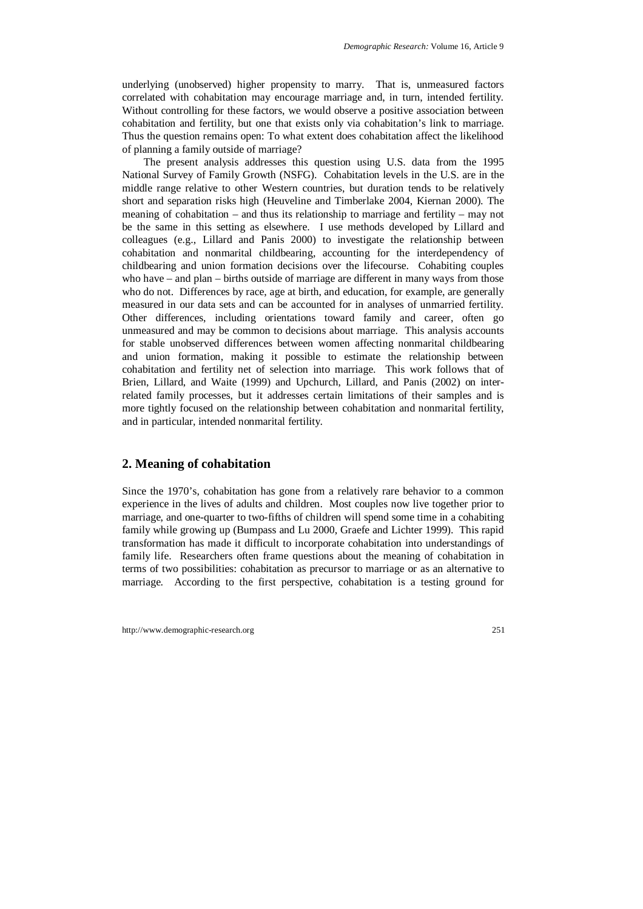underlying (unobserved) higher propensity to marry. That is, unmeasured factors correlated with cohabitation may encourage marriage and, in turn, intended fertility. Without controlling for these factors, we would observe a positive association between cohabitation and fertility, but one that exists only via cohabitation's link to marriage. Thus the question remains open: To what extent does cohabitation affect the likelihood of planning a family outside of marriage?

The present analysis addresses this question using U.S. data from the 1995 National Survey of Family Growth (NSFG). Cohabitation levels in the U.S. are in the middle range relative to other Western countries, but duration tends to be relatively short and separation risks high (Heuveline and Timberlake 2004, Kiernan 2000). The meaning of cohabitation – and thus its relationship to marriage and fertility – may not be the same in this setting as elsewhere. I use methods developed by Lillard and colleagues (e.g., Lillard and Panis 2000) to investigate the relationship between cohabitation and nonmarital childbearing, accounting for the interdependency of childbearing and union formation decisions over the lifecourse. Cohabiting couples who have – and plan – births outside of marriage are different in many ways from those who do not. Differences by race, age at birth, and education, for example, are generally measured in our data sets and can be accounted for in analyses of unmarried fertility. Other differences, including orientations toward family and career, often go unmeasured and may be common to decisions about marriage. This analysis accounts for stable unobserved differences between women affecting nonmarital childbearing and union formation, making it possible to estimate the relationship between cohabitation and fertility net of selection into marriage. This work follows that of Brien, Lillard, and Waite (1999) and Upchurch, Lillard, and Panis (2002) on interrelated family processes, but it addresses certain limitations of their samples and is more tightly focused on the relationship between cohabitation and nonmarital fertility, and in particular, intended nonmarital fertility.

## **2. Meaning of cohabitation**

Since the 1970's, cohabitation has gone from a relatively rare behavior to a common experience in the lives of adults and children. Most couples now live together prior to marriage, and one-quarter to two-fifths of children will spend some time in a cohabiting family while growing up (Bumpass and Lu 2000, Graefe and Lichter 1999). This rapid transformation has made it difficult to incorporate cohabitation into understandings of family life. Researchers often frame questions about the meaning of cohabitation in terms of two possibilities: cohabitation as precursor to marriage or as an alternative to marriage. According to the first perspective, cohabitation is a testing ground for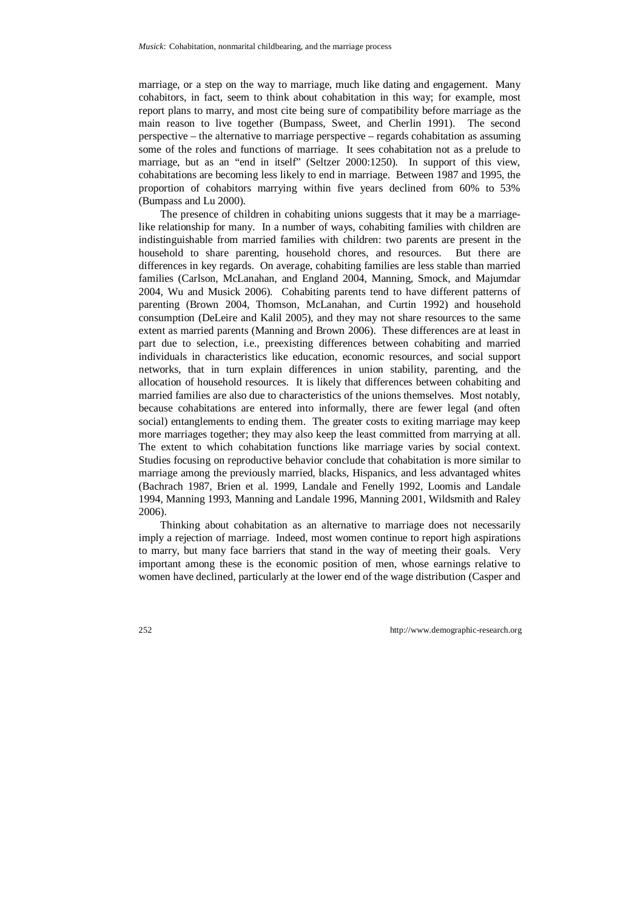marriage, or a step on the way to marriage, much like dating and engagement. Many cohabitors, in fact, seem to think about cohabitation in this way; for example, most report plans to marry, and most cite being sure of compatibility before marriage as the main reason to live together (Bumpass, Sweet, and Cherlin 1991). The second perspective – the alternative to marriage perspective – regards cohabitation as assuming some of the roles and functions of marriage. It sees cohabitation not as a prelude to marriage, but as an "end in itself" (Seltzer 2000:1250). In support of this view, cohabitations are becoming less likely to end in marriage. Between 1987 and 1995, the proportion of cohabitors marrying within five years declined from 60% to 53% (Bumpass and Lu 2000).

The presence of children in cohabiting unions suggests that it may be a marriagelike relationship for many. In a number of ways, cohabiting families with children are indistinguishable from married families with children: two parents are present in the household to share parenting, household chores, and resources. But there are differences in key regards. On average, cohabiting families are less stable than married families (Carlson, McLanahan, and England 2004, Manning, Smock, and Majumdar 2004, Wu and Musick 2006). Cohabiting parents tend to have different patterns of parenting (Brown 2004, Thomson, McLanahan, and Curtin 1992) and household consumption (DeLeire and Kalil 2005), and they may not share resources to the same extent as married parents (Manning and Brown 2006). These differences are at least in part due to selection, i.e., preexisting differences between cohabiting and married individuals in characteristics like education, economic resources, and social support networks, that in turn explain differences in union stability, parenting, and the allocation of household resources. It is likely that differences between cohabiting and married families are also due to characteristics of the unions themselves. Most notably, because cohabitations are entered into informally, there are fewer legal (and often social) entanglements to ending them. The greater costs to exiting marriage may keep more marriages together; they may also keep the least committed from marrying at all. The extent to which cohabitation functions like marriage varies by social context. Studies focusing on reproductive behavior conclude that cohabitation is more similar to marriage among the previously married, blacks, Hispanics, and less advantaged whites (Bachrach 1987, Brien et al. 1999, Landale and Fenelly 1992, Loomis and Landale 1994, Manning 1993, Manning and Landale 1996, Manning 2001, Wildsmith and Raley 2006).

Thinking about cohabitation as an alternative to marriage does not necessarily imply a rejection of marriage. Indeed, most women continue to report high aspirations to marry, but many face barriers that stand in the way of meeting their goals. Very important among these is the economic position of men, whose earnings relative to women have declined, particularly at the lower end of the wage distribution (Casper and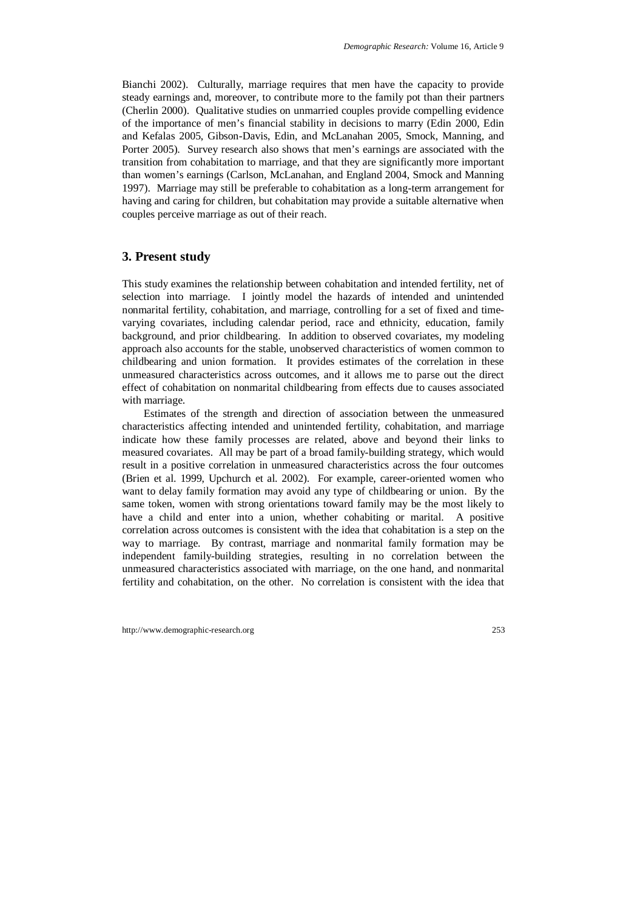Bianchi 2002). Culturally, marriage requires that men have the capacity to provide steady earnings and, moreover, to contribute more to the family pot than their partners (Cherlin 2000). Qualitative studies on unmarried couples provide compelling evidence of the importance of men's financial stability in decisions to marry (Edin 2000, Edin and Kefalas 2005, Gibson-Davis, Edin, and McLanahan 2005, Smock, Manning, and Porter 2005). Survey research also shows that men's earnings are associated with the transition from cohabitation to marriage, and that they are significantly more important than women's earnings (Carlson, McLanahan, and England 2004, Smock and Manning 1997). Marriage may still be preferable to cohabitation as a long-term arrangement for having and caring for children, but cohabitation may provide a suitable alternative when couples perceive marriage as out of their reach.

### **3. Present study**

This study examines the relationship between cohabitation and intended fertility, net of selection into marriage. I jointly model the hazards of intended and unintended nonmarital fertility, cohabitation, and marriage, controlling for a set of fixed and timevarying covariates, including calendar period, race and ethnicity, education, family background, and prior childbearing. In addition to observed covariates, my modeling approach also accounts for the stable, unobserved characteristics of women common to childbearing and union formation. It provides estimates of the correlation in these unmeasured characteristics across outcomes, and it allows me to parse out the direct effect of cohabitation on nonmarital childbearing from effects due to causes associated with marriage.

Estimates of the strength and direction of association between the unmeasured characteristics affecting intended and unintended fertility, cohabitation, and marriage indicate how these family processes are related, above and beyond their links to measured covariates. All may be part of a broad family-building strategy, which would result in a positive correlation in unmeasured characteristics across the four outcomes (Brien et al. 1999, Upchurch et al. 2002). For example, career-oriented women who want to delay family formation may avoid any type of childbearing or union. By the same token, women with strong orientations toward family may be the most likely to have a child and enter into a union, whether cohabiting or marital. A positive correlation across outcomes is consistent with the idea that cohabitation is a step on the way to marriage. By contrast, marriage and nonmarital family formation may be independent family-building strategies, resulting in no correlation between the unmeasured characteristics associated with marriage, on the one hand, and nonmarital fertility and cohabitation, on the other. No correlation is consistent with the idea that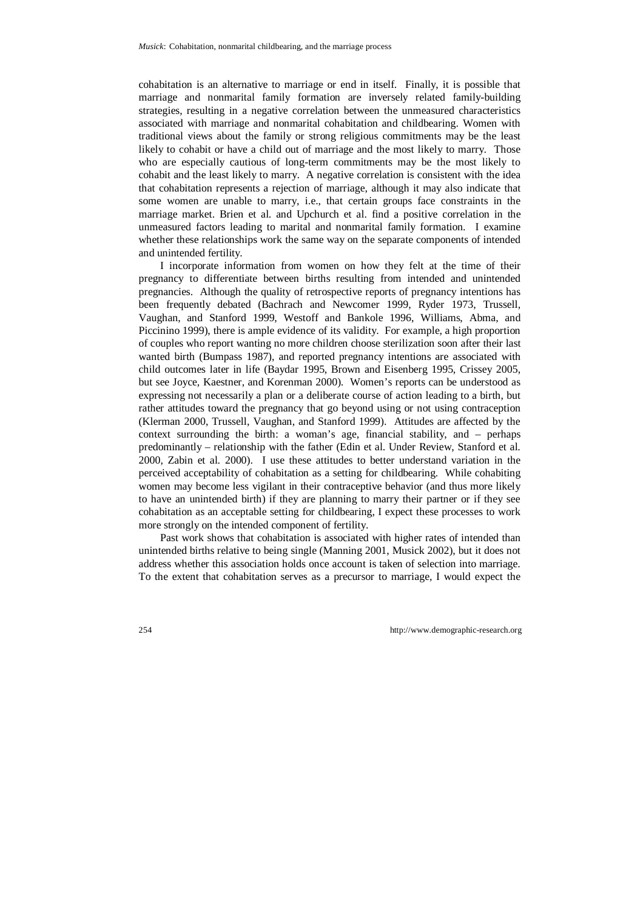cohabitation is an alternative to marriage or end in itself. Finally, it is possible that marriage and nonmarital family formation are inversely related family-building strategies, resulting in a negative correlation between the unmeasured characteristics associated with marriage and nonmarital cohabitation and childbearing. Women with traditional views about the family or strong religious commitments may be the least likely to cohabit or have a child out of marriage and the most likely to marry. Those who are especially cautious of long-term commitments may be the most likely to cohabit and the least likely to marry. A negative correlation is consistent with the idea that cohabitation represents a rejection of marriage, although it may also indicate that some women are unable to marry, i.e., that certain groups face constraints in the marriage market. Brien et al. and Upchurch et al. find a positive correlation in the unmeasured factors leading to marital and nonmarital family formation. I examine whether these relationships work the same way on the separate components of intended and unintended fertility.

I incorporate information from women on how they felt at the time of their pregnancy to differentiate between births resulting from intended and unintended pregnancies. Although the quality of retrospective reports of pregnancy intentions has been frequently debated (Bachrach and Newcomer 1999, Ryder 1973, Trussell, Vaughan, and Stanford 1999, Westoff and Bankole 1996, Williams, Abma, and Piccinino 1999), there is ample evidence of its validity. For example, a high proportion of couples who report wanting no more children choose sterilization soon after their last wanted birth (Bumpass 1987), and reported pregnancy intentions are associated with child outcomes later in life (Baydar 1995, Brown and Eisenberg 1995, Crissey 2005, but see Joyce, Kaestner, and Korenman 2000). Women's reports can be understood as expressing not necessarily a plan or a deliberate course of action leading to a birth, but rather attitudes toward the pregnancy that go beyond using or not using contraception (Klerman 2000, Trussell, Vaughan, and Stanford 1999). Attitudes are affected by the context surrounding the birth: a woman's age, financial stability, and – perhaps predominantly – relationship with the father (Edin et al. Under Review, Stanford et al. 2000, Zabin et al. 2000). I use these attitudes to better understand variation in the perceived acceptability of cohabitation as a setting for childbearing. While cohabiting women may become less vigilant in their contraceptive behavior (and thus more likely to have an unintended birth) if they are planning to marry their partner or if they see cohabitation as an acceptable setting for childbearing, I expect these processes to work more strongly on the intended component of fertility.

Past work shows that cohabitation is associated with higher rates of intended than unintended births relative to being single (Manning 2001, Musick 2002), but it does not address whether this association holds once account is taken of selection into marriage. To the extent that cohabitation serves as a precursor to marriage, I would expect the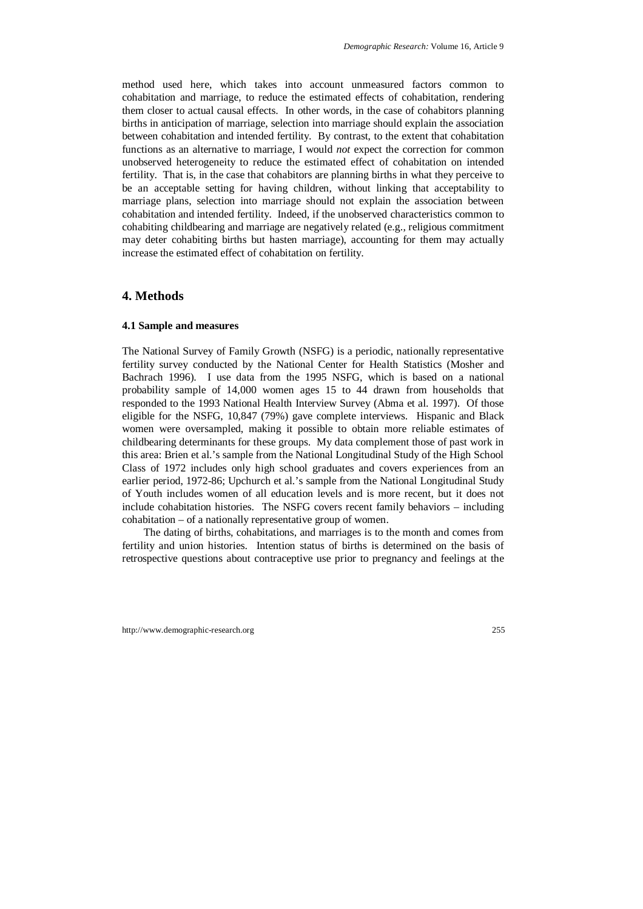method used here, which takes into account unmeasured factors common to cohabitation and marriage, to reduce the estimated effects of cohabitation, rendering them closer to actual causal effects. In other words, in the case of cohabitors planning births in anticipation of marriage, selection into marriage should explain the association between cohabitation and intended fertility. By contrast, to the extent that cohabitation functions as an alternative to marriage, I would *not* expect the correction for common unobserved heterogeneity to reduce the estimated effect of cohabitation on intended fertility. That is, in the case that cohabitors are planning births in what they perceive to be an acceptable setting for having children, without linking that acceptability to marriage plans, selection into marriage should not explain the association between cohabitation and intended fertility. Indeed, if the unobserved characteristics common to cohabiting childbearing and marriage are negatively related (e.g., religious commitment may deter cohabiting births but hasten marriage), accounting for them may actually increase the estimated effect of cohabitation on fertility.

#### **4. Methods**

#### **4.1 Sample and measures**

The National Survey of Family Growth (NSFG) is a periodic, nationally representative fertility survey conducted by the National Center for Health Statistics (Mosher and Bachrach 1996). I use data from the 1995 NSFG, which is based on a national probability sample of 14,000 women ages 15 to 44 drawn from households that responded to the 1993 National Health Interview Survey (Abma et al. 1997). Of those eligible for the NSFG, 10,847 (79%) gave complete interviews. Hispanic and Black women were oversampled, making it possible to obtain more reliable estimates of childbearing determinants for these groups. My data complement those of past work in this area: Brien et al.'s sample from the National Longitudinal Study of the High School Class of 1972 includes only high school graduates and covers experiences from an earlier period, 1972-86; Upchurch et al.'s sample from the National Longitudinal Study of Youth includes women of all education levels and is more recent, but it does not include cohabitation histories. The NSFG covers recent family behaviors – including cohabitation – of a nationally representative group of women.

The dating of births, cohabitations, and marriages is to the month and comes from fertility and union histories. Intention status of births is determined on the basis of retrospective questions about contraceptive use prior to pregnancy and feelings at the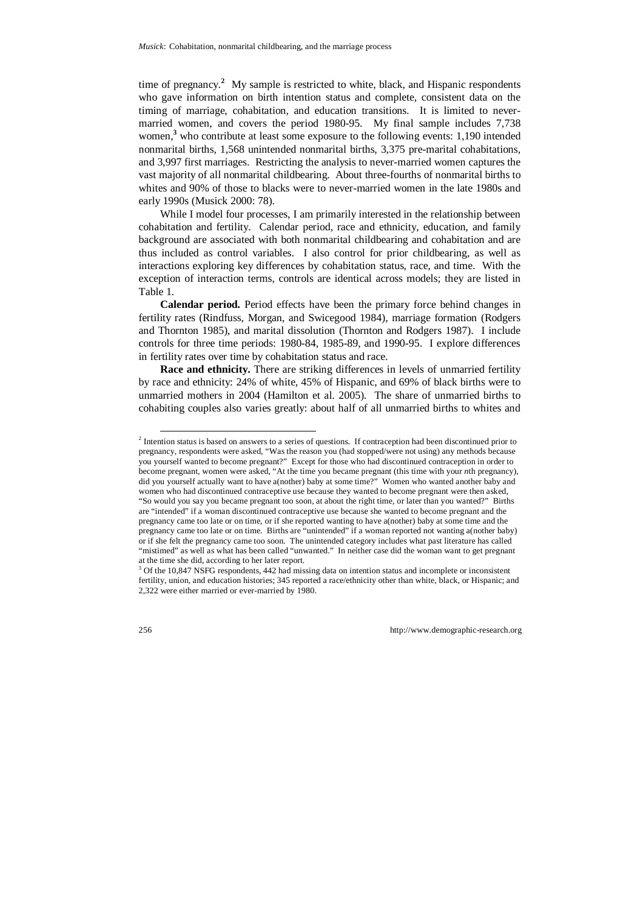time of pregnancy.**<sup>2</sup>** My sample is restricted to white, black, and Hispanic respondents who gave information on birth intention status and complete, consistent data on the timing of marriage, cohabitation, and education transitions. It is limited to nevermarried women, and covers the period 1980-95. My final sample includes 7,738 women,<sup>3</sup> who contribute at least some exposure to the following events: 1,190 intended nonmarital births, 1,568 unintended nonmarital births, 3,375 pre-marital cohabitations, and 3,997 first marriages. Restricting the analysis to never-married women captures the vast majority of all nonmarital childbearing. About three-fourths of nonmarital births to whites and 90% of those to blacks were to never-married women in the late 1980s and early 1990s (Musick 2000: 78).

While I model four processes, I am primarily interested in the relationship between cohabitation and fertility. Calendar period, race and ethnicity, education, and family background are associated with both nonmarital childbearing and cohabitation and are thus included as control variables. I also control for prior childbearing, as well as interactions exploring key differences by cohabitation status, race, and time. With the exception of interaction terms, controls are identical across models; they are listed in Table 1.

**Calendar period.** Period effects have been the primary force behind changes in fertility rates (Rindfuss, Morgan, and Swicegood 1984), marriage formation (Rodgers and Thornton 1985), and marital dissolution (Thornton and Rodgers 1987). I include controls for three time periods: 1980-84, 1985-89, and 1990-95. I explore differences in fertility rates over time by cohabitation status and race.

**Race and ethnicity.** There are striking differences in levels of unmarried fertility by race and ethnicity: 24% of white, 45% of Hispanic, and 69% of black births were to unmarried mothers in 2004 (Hamilton et al. 2005). The share of unmarried births to cohabiting couples also varies greatly: about half of all unmarried births to whites and

<sup>&</sup>lt;sup>2</sup> Intention status is based on answers to a series of questions. If contraception had been discontinued prior to pregnancy, respondents were asked, "Was the reason you (had stopped/were not using) any methods because you yourself wanted to become pregnant?" Except for those who had discontinued contraception in order to become pregnant, women were asked, "At the time you became pregnant (this time with your *n*th pregnancy), did you yourself actually want to have a(nother) baby at some time?" Women who wanted another baby and women who had discontinued contraceptive use because they wanted to become pregnant were then asked, "So would you say you became pregnant too soon, at about the right time, or later than you wanted?" Births are "intended" if a woman discontinued contraceptive use because she wanted to become pregnant and the pregnancy came too late or on time, or if she reported wanting to have a(nother) baby at some time and the pregnancy came too late or on time. Births are "unintended" if a woman reported not wanting a(nother baby) or if she felt the pregnancy came too soon. The unintended category includes what past literature has called "mistimed" as well as what has been called "unwanted." In neither case did the woman want to get pregnant at the time she did, according to her later report.

<sup>&</sup>lt;sup>3</sup> Of the 10,847 NSFG respondents, 442 had missing data on intention status and incomplete or inconsistent fertility, union, and education histories; 345 reported a race/ethnicity other than white, black, or Hispanic; and 2,322 were either married or ever-married by 1980.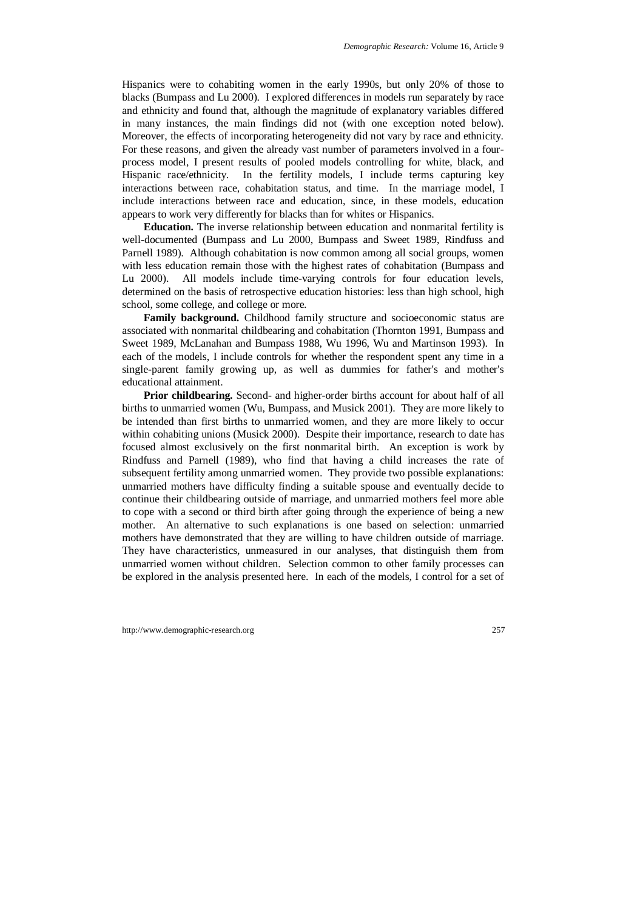Hispanics were to cohabiting women in the early 1990s, but only 20% of those to blacks (Bumpass and Lu 2000). I explored differences in models run separately by race and ethnicity and found that, although the magnitude of explanatory variables differed in many instances, the main findings did not (with one exception noted below). Moreover, the effects of incorporating heterogeneity did not vary by race and ethnicity. For these reasons, and given the already vast number of parameters involved in a fourprocess model, I present results of pooled models controlling for white, black, and Hispanic race/ethnicity. In the fertility models, I include terms capturing key interactions between race, cohabitation status, and time. In the marriage model, I include interactions between race and education, since, in these models, education appears to work very differently for blacks than for whites or Hispanics.

**Education.** The inverse relationship between education and nonmarital fertility is well-documented (Bumpass and Lu 2000, Bumpass and Sweet 1989, Rindfuss and Parnell 1989). Although cohabitation is now common among all social groups, women with less education remain those with the highest rates of cohabitation (Bumpass and Lu 2000). All models include time-varying controls for four education levels, determined on the basis of retrospective education histories: less than high school, high school, some college, and college or more.

Family background. Childhood family structure and socioeconomic status are associated with nonmarital childbearing and cohabitation (Thornton 1991, Bumpass and Sweet 1989, McLanahan and Bumpass 1988, Wu 1996, Wu and Martinson 1993). In each of the models, I include controls for whether the respondent spent any time in a single-parent family growing up, as well as dummies for father's and mother's educational attainment.

**Prior childbearing.** Second- and higher-order births account for about half of all births to unmarried women (Wu, Bumpass, and Musick 2001). They are more likely to be intended than first births to unmarried women, and they are more likely to occur within cohabiting unions (Musick 2000). Despite their importance, research to date has focused almost exclusively on the first nonmarital birth. An exception is work by Rindfuss and Parnell (1989), who find that having a child increases the rate of subsequent fertility among unmarried women. They provide two possible explanations: unmarried mothers have difficulty finding a suitable spouse and eventually decide to continue their childbearing outside of marriage, and unmarried mothers feel more able to cope with a second or third birth after going through the experience of being a new mother. An alternative to such explanations is one based on selection: unmarried mothers have demonstrated that they are willing to have children outside of marriage. They have characteristics, unmeasured in our analyses, that distinguish them from unmarried women without children. Selection common to other family processes can be explored in the analysis presented here. In each of the models, I control for a set of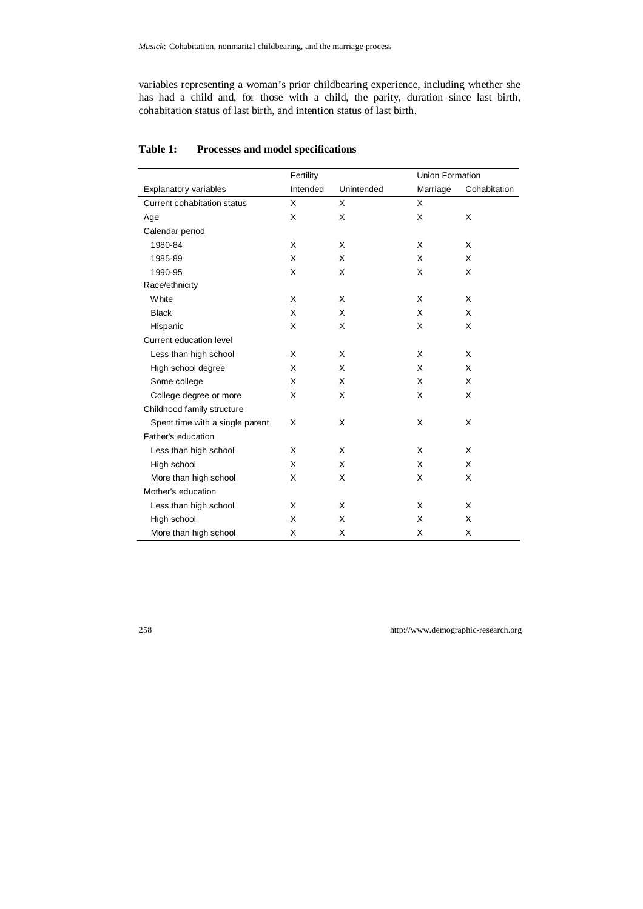variables representing a woman's prior childbearing experience, including whether she has had a child and, for those with a child, the parity, duration since last birth, cohabitation status of last birth, and intention status of last birth.

|                                 | Fertility |            | Union Formation |              |
|---------------------------------|-----------|------------|-----------------|--------------|
| Explanatory variables           | Intended  | Unintended | Marriage        | Cohabitation |
| Current cohabitation status     | X         | X          | X               |              |
| Age                             | X         | X          | X               | X            |
| Calendar period                 |           |            |                 |              |
| 1980-84                         | X         | X          | X               | X            |
| 1985-89                         | X         | X          | X               | X            |
| 1990-95                         | X         | X          | X               | X            |
| Race/ethnicity                  |           |            |                 |              |
| White                           | X         | X          | X               | X            |
| <b>Black</b>                    | X         | X          | X               | X            |
| Hispanic                        | Х         | Χ          | X               | X            |
| Current education level         |           |            |                 |              |
| Less than high school           | X         | X          | X               | X            |
| High school degree              | X         | X          | X               | X            |
| Some college                    | X         | X          | X               | X            |
| College degree or more          | X         | X          | X               | X            |
| Childhood family structure      |           |            |                 |              |
| Spent time with a single parent | X         | X          | X               | X            |
| Father's education              |           |            |                 |              |
| Less than high school           | X         | X          | X               | X            |
| High school                     | X         | X          | X               | X            |
| More than high school           | X         | X          | X               | X            |
| Mother's education              |           |            |                 |              |
| Less than high school           | X         | X          | X               | X            |
| High school                     | X         | X          | X               | X            |
| More than high school           | X         | X          | X               | X            |

#### **Table 1: Processes and model specifications**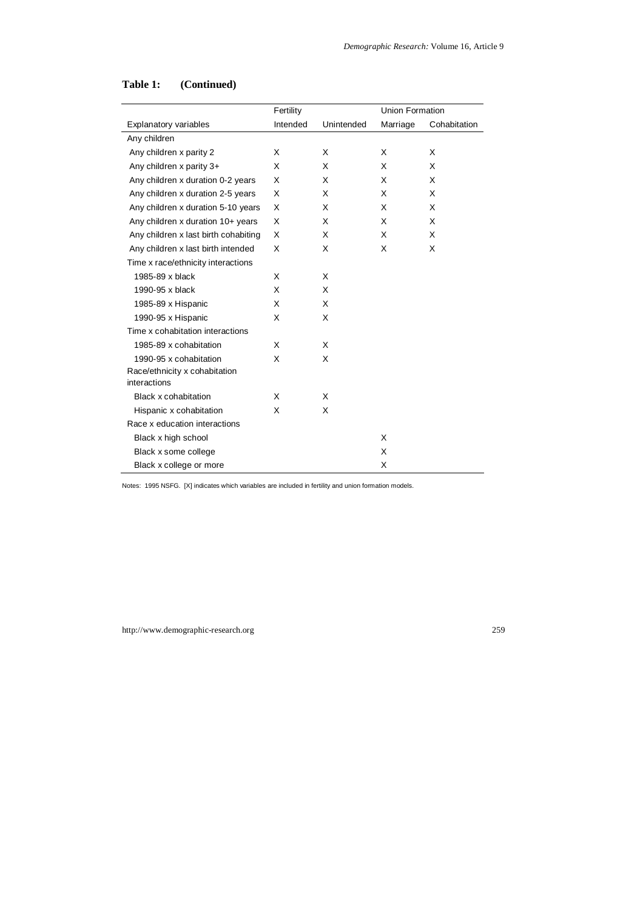|                                      | Fertility |            | <b>Union Formation</b> |              |
|--------------------------------------|-----------|------------|------------------------|--------------|
| Explanatory variables                | Intended  | Unintended | Marriage               | Cohabitation |
| Any children                         |           |            |                        |              |
| Any children x parity 2              | X         | X          | X                      | X            |
| Any children x parity 3+             | X         | X          | X                      | X            |
| Any children x duration 0-2 years    | X         | X          | X                      | X            |
| Any children x duration 2-5 years    | X         | X          | X                      | X            |
| Any children x duration 5-10 years   | X         | X          | X                      | X            |
| Any children x duration 10+ years    | X         | X          | X                      | X            |
| Any children x last birth cohabiting | X         | X          | X                      | X            |
| Any children x last birth intended   | X         | X          | X                      | X            |
| Time x race/ethnicity interactions   |           |            |                        |              |
| 1985-89 x black                      | X         | X          |                        |              |
| 1990-95 x black                      | X         | X          |                        |              |
| 1985-89 x Hispanic                   | X         | X          |                        |              |
| 1990-95 x Hispanic                   | X         | X          |                        |              |
| Time x cohabitation interactions     |           |            |                        |              |
| 1985-89 x cohabitation               | X         | X          |                        |              |
| 1990-95 x cohabitation               | X         | X          |                        |              |
| Race/ethnicity x cohabitation        |           |            |                        |              |
| interactions                         |           |            |                        |              |
| Black x cohabitation                 | X         | X          |                        |              |
| Hispanic x cohabitation              | X         | X          |                        |              |
| Race x education interactions        |           |            |                        |              |
| Black x high school                  |           |            | X                      |              |
| Black x some college                 |           |            | X                      |              |
| Black x college or more              |           |            | X                      |              |

Notes: 1995 NSFG. [X] indicates which variables are included in fertility and union formation models.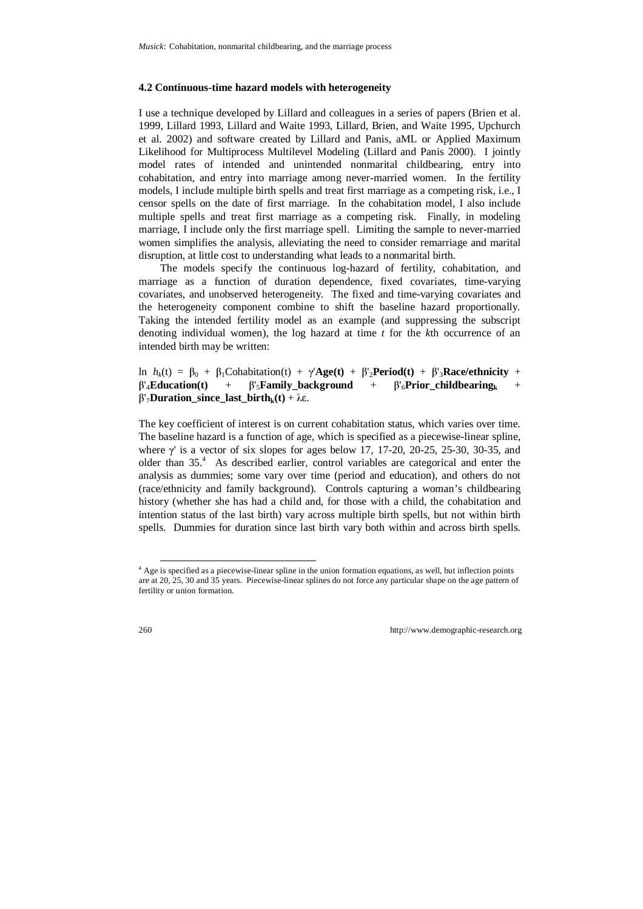#### **4.2 Continuous-time hazard models with heterogeneity**

I use a technique developed by Lillard and colleagues in a series of papers (Brien et al. 1999, Lillard 1993, Lillard and Waite 1993, Lillard, Brien, and Waite 1995, Upchurch et al. 2002) and software created by Lillard and Panis, aML or Applied Maximum Likelihood for Multiprocess Multilevel Modeling (Lillard and Panis 2000). I jointly model rates of intended and unintended nonmarital childbearing, entry into cohabitation, and entry into marriage among never-married women. In the fertility models, I include multiple birth spells and treat first marriage as a competing risk, i.e., I censor spells on the date of first marriage. In the cohabitation model, I also include multiple spells and treat first marriage as a competing risk. Finally, in modeling marriage, I include only the first marriage spell. Limiting the sample to never-married women simplifies the analysis, alleviating the need to consider remarriage and marital disruption, at little cost to understanding what leads to a nonmarital birth.

The models specify the continuous log-hazard of fertility, cohabitation, and marriage as a function of duration dependence, fixed covariates, time-varying covariates, and unobserved heterogeneity. The fixed and time-varying covariates and the heterogeneity component combine to shift the baseline hazard proportionally. Taking the intended fertility model as an example (and suppressing the subscript denoting individual women), the log hazard at time *t* for the *k*th occurrence of an intended birth may be written:

ln  $h_k(t) = \beta_0 + \beta_1$ Cohabitation(t) + γ'**Age(t)** + β'<sub>2</sub>**Period(t)** + β'<sub>3</sub>**Race/ethnicity** +  $\beta'_{4}$ **Education(t)** +  $\beta'_{5}$ **Family** background +  $\beta'_{6}$ **Prior childbearing**<sub>k</sub> +  $β'$ <sub>7</sub>**Duration** since last birth<sub>k</sub>(t) + λε.

The key coefficient of interest is on current cohabitation status, which varies over time. The baseline hazard is a function of age, which is specified as a piecewise-linear spline, where γ' is a vector of six slopes for ages below 17, 17-20, 20-25, 25-30, 30-35, and older than 35.<sup>4</sup> As described earlier, control variables are categorical and enter the analysis as dummies; some vary over time (period and education), and others do not (race/ethnicity and family background). Controls capturing a woman's childbearing history (whether she has had a child and, for those with a child, the cohabitation and intention status of the last birth) vary across multiple birth spells, but not within birth spells. Dummies for duration since last birth vary both within and across birth spells.

 <sup>4</sup> Age is specified as a piecewise-linear spline in the union formation equations, as well, but inflection points are at 20, 25, 30 and 35 years. Piecewise-linear splines do not force any particular shape on the age pattern of fertility or union formation.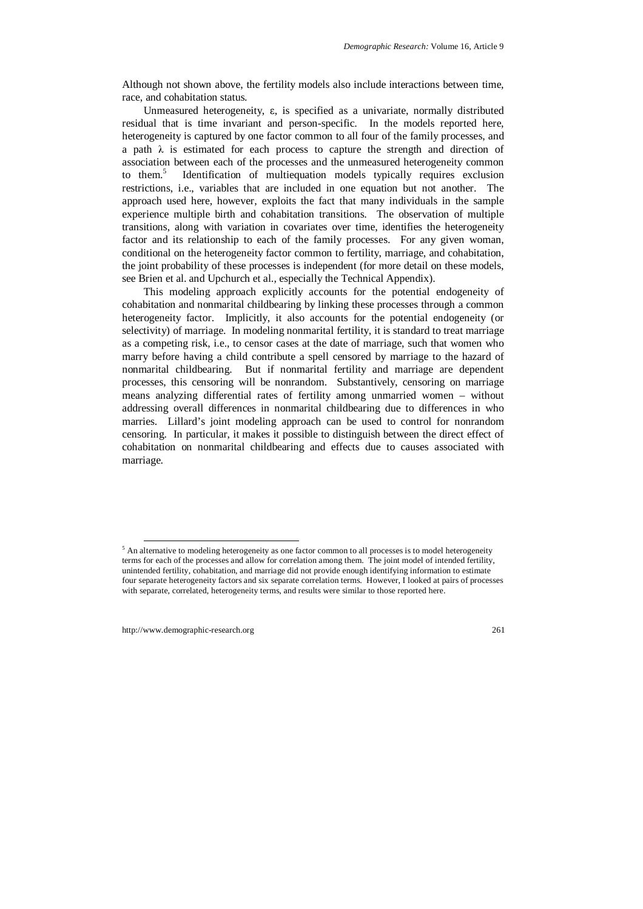Although not shown above, the fertility models also include interactions between time, race, and cohabitation status.

Unmeasured heterogeneity, ε, is specified as a univariate, normally distributed residual that is time invariant and person-specific. In the models reported here, heterogeneity is captured by one factor common to all four of the family processes, and a path  $\lambda$  is estimated for each process to capture the strength and direction of association between each of the processes and the unmeasured heterogeneity common to them.<sup>5</sup> Identification of multiequation models typically requires exclusion restrictions, i.e., variables that are included in one equation but not another. The approach used here, however, exploits the fact that many individuals in the sample experience multiple birth and cohabitation transitions. The observation of multiple transitions, along with variation in covariates over time, identifies the heterogeneity factor and its relationship to each of the family processes. For any given woman, conditional on the heterogeneity factor common to fertility, marriage, and cohabitation, the joint probability of these processes is independent (for more detail on these models, see Brien et al. and Upchurch et al., especially the Technical Appendix).

This modeling approach explicitly accounts for the potential endogeneity of cohabitation and nonmarital childbearing by linking these processes through a common heterogeneity factor. Implicitly, it also accounts for the potential endogeneity (or selectivity) of marriage. In modeling nonmarital fertility, it is standard to treat marriage as a competing risk, i.e., to censor cases at the date of marriage, such that women who marry before having a child contribute a spell censored by marriage to the hazard of nonmarital childbearing. But if nonmarital fertility and marriage are dependent processes, this censoring will be nonrandom. Substantively, censoring on marriage means analyzing differential rates of fertility among unmarried women – without addressing overall differences in nonmarital childbearing due to differences in who marries. Lillard's joint modeling approach can be used to control for nonrandom censoring. In particular, it makes it possible to distinguish between the direct effect of cohabitation on nonmarital childbearing and effects due to causes associated with marriage.

<sup>&</sup>lt;sup>5</sup> An alternative to modeling heterogeneity as one factor common to all processes is to model heterogeneity terms for each of the processes and allow for correlation among them. The joint model of intended fertility, unintended fertility, cohabitation, and marriage did not provide enough identifying information to estimate four separate heterogeneity factors and six separate correlation terms. However, I looked at pairs of processes with separate, correlated, heterogeneity terms, and results were similar to those reported here.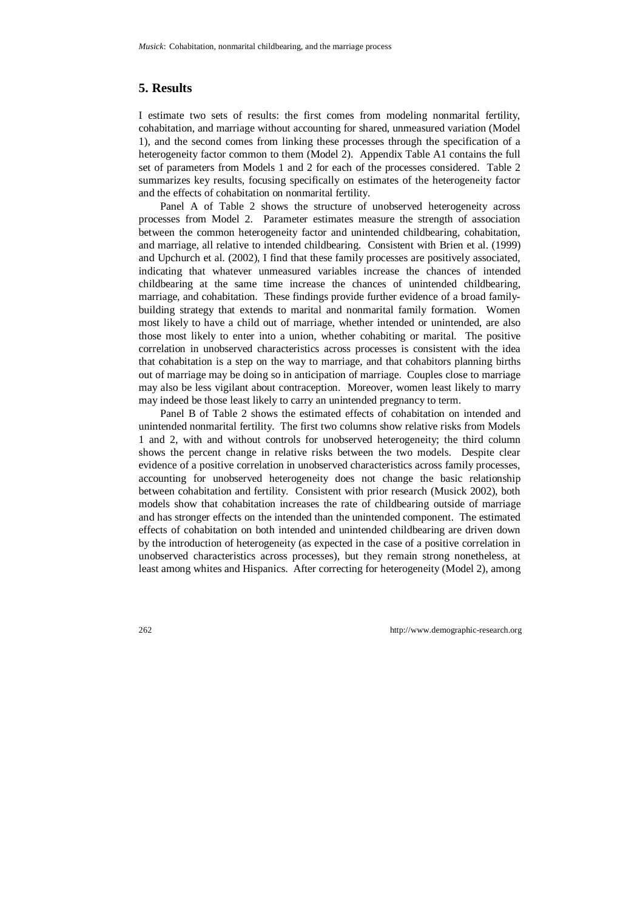## **5. Results**

I estimate two sets of results: the first comes from modeling nonmarital fertility, cohabitation, and marriage without accounting for shared, unmeasured variation (Model 1), and the second comes from linking these processes through the specification of a heterogeneity factor common to them (Model 2). Appendix Table A1 contains the full set of parameters from Models 1 and 2 for each of the processes considered. Table 2 summarizes key results, focusing specifically on estimates of the heterogeneity factor and the effects of cohabitation on nonmarital fertility.

Panel A of Table 2 shows the structure of unobserved heterogeneity across processes from Model 2. Parameter estimates measure the strength of association between the common heterogeneity factor and unintended childbearing, cohabitation, and marriage, all relative to intended childbearing. Consistent with Brien et al. (1999) and Upchurch et al. (2002), I find that these family processes are positively associated, indicating that whatever unmeasured variables increase the chances of intended childbearing at the same time increase the chances of unintended childbearing, marriage, and cohabitation. These findings provide further evidence of a broad familybuilding strategy that extends to marital and nonmarital family formation. Women most likely to have a child out of marriage, whether intended or unintended, are also those most likely to enter into a union, whether cohabiting or marital. The positive correlation in unobserved characteristics across processes is consistent with the idea that cohabitation is a step on the way to marriage, and that cohabitors planning births out of marriage may be doing so in anticipation of marriage. Couples close to marriage may also be less vigilant about contraception. Moreover, women least likely to marry may indeed be those least likely to carry an unintended pregnancy to term.

Panel B of Table 2 shows the estimated effects of cohabitation on intended and unintended nonmarital fertility. The first two columns show relative risks from Models 1 and 2, with and without controls for unobserved heterogeneity; the third column shows the percent change in relative risks between the two models. Despite clear evidence of a positive correlation in unobserved characteristics across family processes, accounting for unobserved heterogeneity does not change the basic relationship between cohabitation and fertility. Consistent with prior research (Musick 2002), both models show that cohabitation increases the rate of childbearing outside of marriage and has stronger effects on the intended than the unintended component. The estimated effects of cohabitation on both intended and unintended childbearing are driven down by the introduction of heterogeneity (as expected in the case of a positive correlation in unobserved characteristics across processes), but they remain strong nonetheless, at least among whites and Hispanics. After correcting for heterogeneity (Model 2), among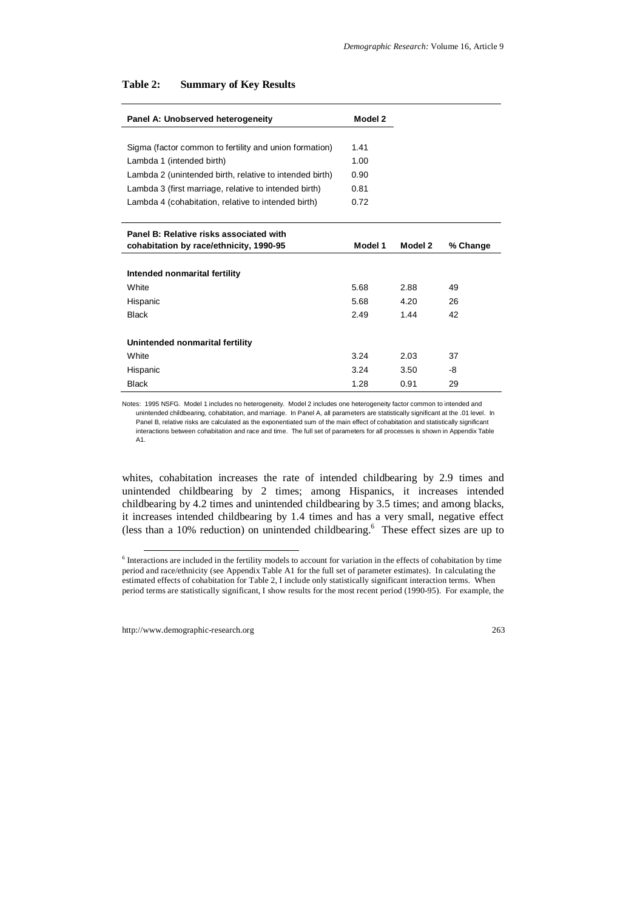| Panel A: Unobserved heterogeneity                       | Model 2 |         |          |
|---------------------------------------------------------|---------|---------|----------|
|                                                         |         |         |          |
| Sigma (factor common to fertility and union formation)  | 1.41    |         |          |
| Lambda 1 (intended birth)                               | 1.00    |         |          |
| Lambda 2 (unintended birth, relative to intended birth) | 0.90    |         |          |
| Lambda 3 (first marriage, relative to intended birth)   | 0.81    |         |          |
| Lambda 4 (cohabitation, relative to intended birth)     | 0.72    |         |          |
|                                                         |         |         |          |
| Panel B: Relative risks associated with                 |         |         |          |
| cohabitation by race/ethnicity, 1990-95                 | Model 1 | Model 2 | % Change |
|                                                         |         |         |          |
| Intended nonmarital fertility                           |         |         |          |
| White                                                   | 5.68    | 2.88    | 49       |
| Hispanic                                                | 5.68    | 4.20    | 26       |
| <b>Black</b>                                            | 2.49    | 1.44    | 42       |
|                                                         |         |         |          |
| Unintended nonmarital fertility                         |         |         |          |
| White                                                   | 3.24    | 2.03    | 37       |
| Hispanic                                                | 3.24    | 3.50    | -8       |
| <b>Black</b>                                            | 1.28    | 0.91    | 29       |

#### **Table 2: Summary of Key Results**

Notes: 1995 NSFG. Model 1 includes no heterogeneity. Model 2 includes one heterogeneity factor common to intended and unintended childbearing, cohabitation, and marriage. In Panel A, all parameters are statistically significant at the .01 level. In Panel B, relative risks are calculated as the exponentiated sum of the main effect of cohabitation and statistically significant interactions between cohabitation and race and time. The full set of parameters for all processes is shown in Appendix Table A<sub>1</sub>

whites, cohabitation increases the rate of intended childbearing by 2.9 times and unintended childbearing by 2 times; among Hispanics, it increases intended childbearing by 4.2 times and unintended childbearing by 3.5 times; and among blacks, it increases intended childbearing by 1.4 times and has a very small, negative effect (less than a 10% reduction) on unintended childbearing. $6$  These effect sizes are up to

<sup>&</sup>lt;sup>6</sup> Interactions are included in the fertility models to account for variation in the effects of cohabitation by time period and race/ethnicity (see Appendix Table A1 for the full set of parameter estimates). In calculating the estimated effects of cohabitation for Table 2, I include only statistically significant interaction terms. When period terms are statistically significant, I show results for the most recent period (1990-95). For example, the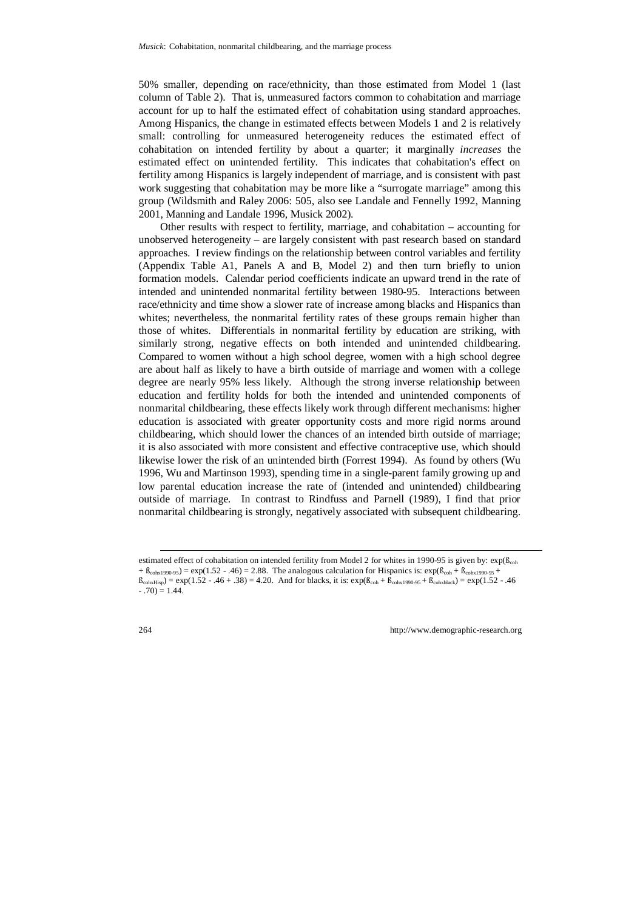50% smaller, depending on race/ethnicity, than those estimated from Model 1 (last column of Table 2). That is, unmeasured factors common to cohabitation and marriage account for up to half the estimated effect of cohabitation using standard approaches. Among Hispanics, the change in estimated effects between Models 1 and 2 is relatively small: controlling for unmeasured heterogeneity reduces the estimated effect of cohabitation on intended fertility by about a quarter; it marginally *increases* the estimated effect on unintended fertility. This indicates that cohabitation's effect on fertility among Hispanics is largely independent of marriage, and is consistent with past work suggesting that cohabitation may be more like a "surrogate marriage" among this group (Wildsmith and Raley 2006: 505, also see Landale and Fennelly 1992, Manning 2001, Manning and Landale 1996, Musick 2002).

Other results with respect to fertility, marriage, and cohabitation – accounting for unobserved heterogeneity – are largely consistent with past research based on standard approaches. I review findings on the relationship between control variables and fertility (Appendix Table A1, Panels A and B, Model 2) and then turn briefly to union formation models. Calendar period coefficients indicate an upward trend in the rate of intended and unintended nonmarital fertility between 1980-95. Interactions between race/ethnicity and time show a slower rate of increase among blacks and Hispanics than whites; nevertheless, the nonmarital fertility rates of these groups remain higher than those of whites. Differentials in nonmarital fertility by education are striking, with similarly strong, negative effects on both intended and unintended childbearing. Compared to women without a high school degree, women with a high school degree are about half as likely to have a birth outside of marriage and women with a college degree are nearly 95% less likely.Although the strong inverse relationship between education and fertility holds for both the intended and unintended components of nonmarital childbearing, these effects likely work through different mechanisms: higher education is associated with greater opportunity costs and more rigid norms around childbearing, which should lower the chances of an intended birth outside of marriage; it is also associated with more consistent and effective contraceptive use, which should likewise lower the risk of an unintended birth (Forrest 1994). As found by others (Wu 1996, Wu and Martinson 1993), spending time in a single-parent family growing up and low parental education increase the rate of (intended and unintended) childbearing outside of marriage. In contrast to Rindfuss and Parnell (1989), I find that prior nonmarital childbearing is strongly, negatively associated with subsequent childbearing.

estimated effect of cohabitation on intended fertility from Model 2 for whites in 1990-95 is given by:  $\exp(\beta_{coh}$  $+ B_{\text{cohx1990-95}} = \exp(1.52 - .46) = 2.88$ . The analogous calculation for Hispanics is:  $\exp(B_{\text{coh}} + B_{\text{cohx1990-95}} + )$  $\beta_{\text{coh+Hisp}} = \exp(1.52 - .46 + .38) = 4.20$ . And for blacks, it is:  $\exp(\beta_{\text{coh}} + \beta_{\text{coh+290-95}} + \beta_{\text{coh+black}}) = \exp(1.52 - .46)$  $-0.70$  = 1.44.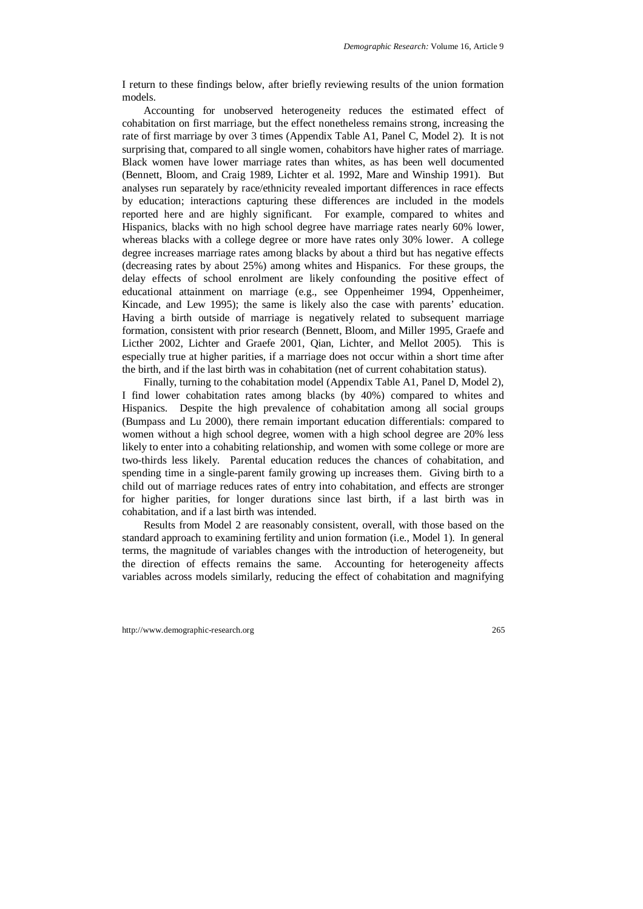I return to these findings below, after briefly reviewing results of the union formation models.

Accounting for unobserved heterogeneity reduces the estimated effect of cohabitation on first marriage, but the effect nonetheless remains strong, increasing the rate of first marriage by over 3 times (Appendix Table A1, Panel C, Model 2). It is not surprising that, compared to all single women, cohabitors have higher rates of marriage. Black women have lower marriage rates than whites, as has been well documented (Bennett, Bloom, and Craig 1989, Lichter et al. 1992, Mare and Winship 1991). But analyses run separately by race/ethnicity revealed important differences in race effects by education; interactions capturing these differences are included in the models reported here and are highly significant. For example, compared to whites and Hispanics, blacks with no high school degree have marriage rates nearly 60% lower, whereas blacks with a college degree or more have rates only 30% lower. A college degree increases marriage rates among blacks by about a third but has negative effects (decreasing rates by about 25%) among whites and Hispanics. For these groups, the delay effects of school enrolment are likely confounding the positive effect of educational attainment on marriage (e.g., see Oppenheimer 1994, Oppenheimer, Kincade, and Lew 1995); the same is likely also the case with parents' education. Having a birth outside of marriage is negatively related to subsequent marriage formation, consistent with prior research (Bennett, Bloom, and Miller 1995, Graefe and Licther 2002, Lichter and Graefe 2001, Qian, Lichter, and Mellot 2005). This is especially true at higher parities, if a marriage does not occur within a short time after the birth, and if the last birth was in cohabitation (net of current cohabitation status).

Finally, turning to the cohabitation model (Appendix Table A1, Panel D, Model 2), I find lower cohabitation rates among blacks (by 40%) compared to whites and Hispanics. Despite the high prevalence of cohabitation among all social groups (Bumpass and Lu 2000), there remain important education differentials: compared to women without a high school degree, women with a high school degree are 20% less likely to enter into a cohabiting relationship, and women with some college or more are two-thirds less likely. Parental education reduces the chances of cohabitation, and spending time in a single-parent family growing up increases them. Giving birth to a child out of marriage reduces rates of entry into cohabitation, and effects are stronger for higher parities, for longer durations since last birth, if a last birth was in cohabitation, and if a last birth was intended.

Results from Model 2 are reasonably consistent, overall, with those based on the standard approach to examining fertility and union formation (i.e., Model 1). In general terms, the magnitude of variables changes with the introduction of heterogeneity, but the direction of effects remains the same. Accounting for heterogeneity affects variables across models similarly, reducing the effect of cohabitation and magnifying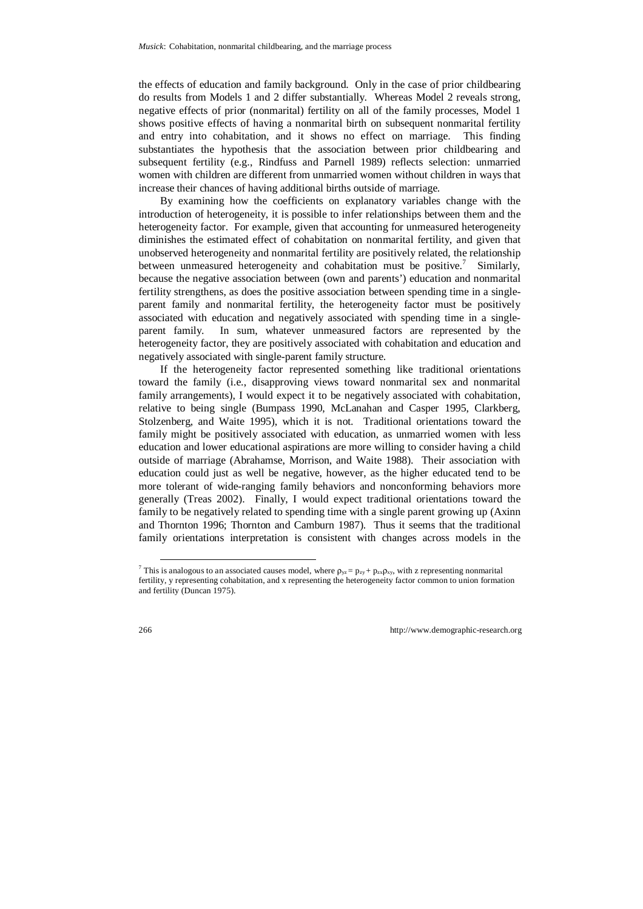the effects of education and family background. Only in the case of prior childbearing do results from Models 1 and 2 differ substantially. Whereas Model 2 reveals strong, negative effects of prior (nonmarital) fertility on all of the family processes, Model 1 shows positive effects of having a nonmarital birth on subsequent nonmarital fertility and entry into cohabitation, and it shows no effect on marriage. This finding substantiates the hypothesis that the association between prior childbearing and subsequent fertility (e.g., Rindfuss and Parnell 1989) reflects selection: unmarried women with children are different from unmarried women without children in ways that increase their chances of having additional births outside of marriage.

By examining how the coefficients on explanatory variables change with the introduction of heterogeneity, it is possible to infer relationships between them and the heterogeneity factor. For example, given that accounting for unmeasured heterogeneity diminishes the estimated effect of cohabitation on nonmarital fertility, and given that unobserved heterogeneity and nonmarital fertility are positively related, the relationship between unmeasured heterogeneity and cohabitation must be positive.<sup>7</sup> Similarly, because the negative association between (own and parents') education and nonmarital fertility strengthens, as does the positive association between spending time in a singleparent family and nonmarital fertility, the heterogeneity factor must be positively associated with education and negatively associated with spending time in a singleparent family. In sum, whatever unmeasured factors are represented by the heterogeneity factor, they are positively associated with cohabitation and education and negatively associated with single-parent family structure.

If the heterogeneity factor represented something like traditional orientations toward the family (i.e., disapproving views toward nonmarital sex and nonmarital family arrangements), I would expect it to be negatively associated with cohabitation, relative to being single (Bumpass 1990, McLanahan and Casper 1995, Clarkberg, Stolzenberg, and Waite 1995), which it is not. Traditional orientations toward the family might be positively associated with education, as unmarried women with less education and lower educational aspirations are more willing to consider having a child outside of marriage (Abrahamse, Morrison, and Waite 1988). Their association with education could just as well be negative, however, as the higher educated tend to be more tolerant of wide-ranging family behaviors and nonconforming behaviors more generally (Treas 2002). Finally, I would expect traditional orientations toward the family to be negatively related to spending time with a single parent growing up (Axinn and Thornton 1996; Thornton and Camburn 1987). Thus it seems that the traditional family orientations interpretation is consistent with changes across models in the

<sup>&</sup>lt;sup>7</sup> This is analogous to an associated causes model, where  $\rho_{yz} = p_{zy} + p_{zx}\rho_{xy}$ , with z representing nonmarital fertility, y representing cohabitation, and x representing the heterogeneity factor common to union formation and fertility (Duncan 1975).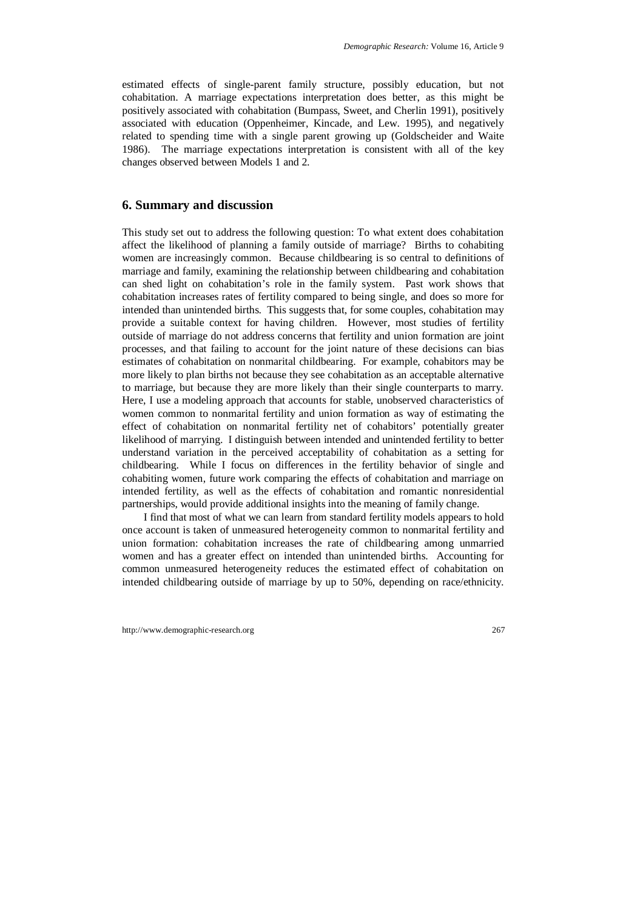estimated effects of single-parent family structure, possibly education, but not cohabitation. A marriage expectations interpretation does better, as this might be positively associated with cohabitation (Bumpass, Sweet, and Cherlin 1991), positively associated with education (Oppenheimer, Kincade, and Lew. 1995), and negatively related to spending time with a single parent growing up (Goldscheider and Waite 1986). The marriage expectations interpretation is consistent with all of the key changes observed between Models 1 and 2.

## **6. Summary and discussion**

This study set out to address the following question: To what extent does cohabitation affect the likelihood of planning a family outside of marriage? Births to cohabiting women are increasingly common. Because childbearing is so central to definitions of marriage and family, examining the relationship between childbearing and cohabitation can shed light on cohabitation's role in the family system. Past work shows that cohabitation increases rates of fertility compared to being single, and does so more for intended than unintended births. This suggests that, for some couples, cohabitation may provide a suitable context for having children. However, most studies of fertility outside of marriage do not address concerns that fertility and union formation are joint processes, and that failing to account for the joint nature of these decisions can bias estimates of cohabitation on nonmarital childbearing. For example, cohabitors may be more likely to plan births not because they see cohabitation as an acceptable alternative to marriage, but because they are more likely than their single counterparts to marry. Here, I use a modeling approach that accounts for stable, unobserved characteristics of women common to nonmarital fertility and union formation as way of estimating the effect of cohabitation on nonmarital fertility net of cohabitors' potentially greater likelihood of marrying. I distinguish between intended and unintended fertility to better understand variation in the perceived acceptability of cohabitation as a setting for childbearing. While I focus on differences in the fertility behavior of single and cohabiting women, future work comparing the effects of cohabitation and marriage on intended fertility, as well as the effects of cohabitation and romantic nonresidential partnerships, would provide additional insights into the meaning of family change.

I find that most of what we can learn from standard fertility models appears to hold once account is taken of unmeasured heterogeneity common to nonmarital fertility and union formation: cohabitation increases the rate of childbearing among unmarried women and has a greater effect on intended than unintended births. Accounting for common unmeasured heterogeneity reduces the estimated effect of cohabitation on intended childbearing outside of marriage by up to 50%, depending on race/ethnicity.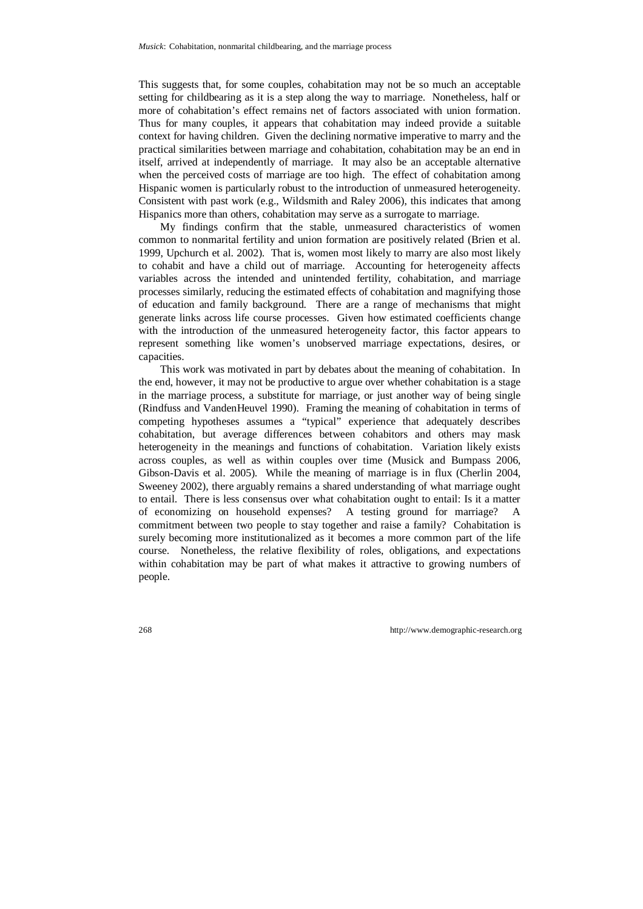This suggests that, for some couples, cohabitation may not be so much an acceptable setting for childbearing as it is a step along the way to marriage. Nonetheless, half or more of cohabitation's effect remains net of factors associated with union formation. Thus for many couples, it appears that cohabitation may indeed provide a suitable context for having children. Given the declining normative imperative to marry and the practical similarities between marriage and cohabitation, cohabitation may be an end in itself, arrived at independently of marriage. It may also be an acceptable alternative when the perceived costs of marriage are too high. The effect of cohabitation among Hispanic women is particularly robust to the introduction of unmeasured heterogeneity. Consistent with past work (e.g., Wildsmith and Raley 2006), this indicates that among Hispanics more than others, cohabitation may serve as a surrogate to marriage.

My findings confirm that the stable, unmeasured characteristics of women common to nonmarital fertility and union formation are positively related (Brien et al. 1999, Upchurch et al. 2002). That is, women most likely to marry are also most likely to cohabit and have a child out of marriage. Accounting for heterogeneity affects variables across the intended and unintended fertility, cohabitation, and marriage processes similarly, reducing the estimated effects of cohabitation and magnifying those of education and family background. There are a range of mechanisms that might generate links across life course processes. Given how estimated coefficients change with the introduction of the unmeasured heterogeneity factor, this factor appears to represent something like women's unobserved marriage expectations, desires, or capacities.

This work was motivated in part by debates about the meaning of cohabitation. In the end, however, it may not be productive to argue over whether cohabitation is a stage in the marriage process, a substitute for marriage, or just another way of being single (Rindfuss and VandenHeuvel 1990). Framing the meaning of cohabitation in terms of competing hypotheses assumes a "typical" experience that adequately describes cohabitation, but average differences between cohabitors and others may mask heterogeneity in the meanings and functions of cohabitation. Variation likely exists across couples, as well as within couples over time (Musick and Bumpass 2006, Gibson-Davis et al. 2005). While the meaning of marriage is in flux (Cherlin 2004, Sweeney 2002), there arguably remains a shared understanding of what marriage ought to entail. There is less consensus over what cohabitation ought to entail: Is it a matter of economizing on household expenses? A testing ground for marriage? A commitment between two people to stay together and raise a family? Cohabitation is surely becoming more institutionalized as it becomes a more common part of the life course. Nonetheless, the relative flexibility of roles, obligations, and expectations within cohabitation may be part of what makes it attractive to growing numbers of people.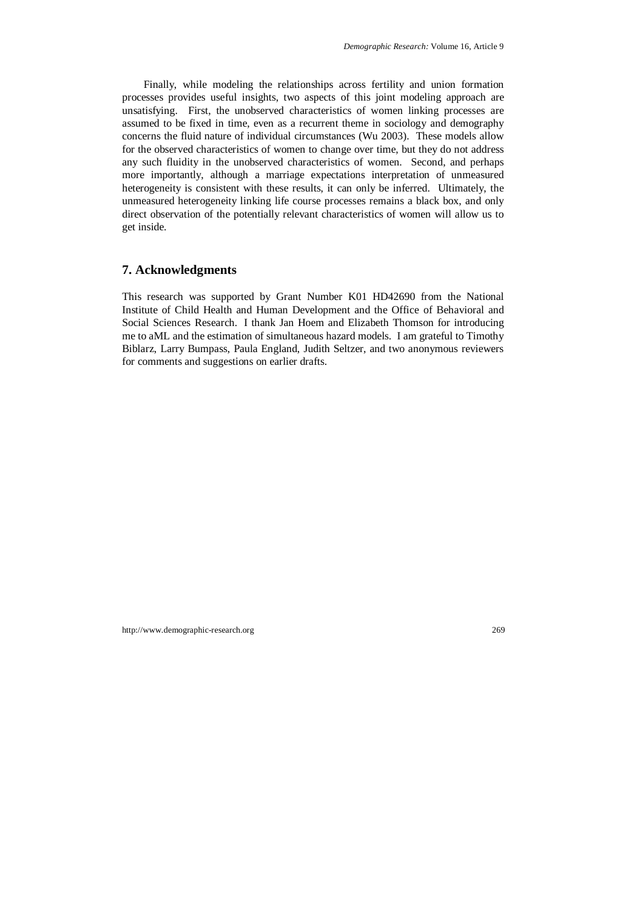Finally, while modeling the relationships across fertility and union formation processes provides useful insights, two aspects of this joint modeling approach are unsatisfying. First, the unobserved characteristics of women linking processes are assumed to be fixed in time, even as a recurrent theme in sociology and demography concerns the fluid nature of individual circumstances (Wu 2003). These models allow for the observed characteristics of women to change over time, but they do not address any such fluidity in the unobserved characteristics of women. Second, and perhaps more importantly, although a marriage expectations interpretation of unmeasured heterogeneity is consistent with these results, it can only be inferred. Ultimately, the unmeasured heterogeneity linking life course processes remains a black box, and only direct observation of the potentially relevant characteristics of women will allow us to get inside.

# **7. Acknowledgments**

This research was supported by Grant Number K01 HD42690 from the National Institute of Child Health and Human Development and the Office of Behavioral and Social Sciences Research. I thank Jan Hoem and Elizabeth Thomson for introducing me to aML and the estimation of simultaneous hazard models. I am grateful to Timothy Biblarz, Larry Bumpass, Paula England, Judith Seltzer, and two anonymous reviewers for comments and suggestions on earlier drafts.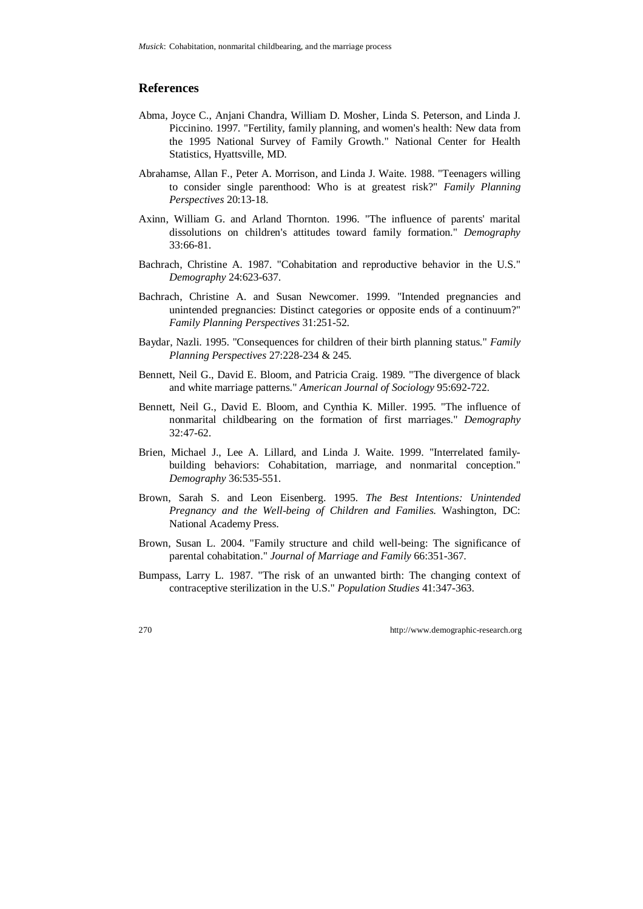#### **References**

- Abma, Joyce C., Anjani Chandra, William D. Mosher, Linda S. Peterson, and Linda J. Piccinino. 1997. "Fertility, family planning, and women's health: New data from the 1995 National Survey of Family Growth." National Center for Health Statistics, Hyattsville, MD.
- Abrahamse, Allan F., Peter A. Morrison, and Linda J. Waite. 1988. "Teenagers willing to consider single parenthood: Who is at greatest risk?" *Family Planning Perspectives* 20:13-18.
- Axinn, William G. and Arland Thornton. 1996. "The influence of parents' marital dissolutions on children's attitudes toward family formation." *Demography* 33:66-81.
- Bachrach, Christine A. 1987. "Cohabitation and reproductive behavior in the U.S." *Demography* 24:623-637.
- Bachrach, Christine A. and Susan Newcomer. 1999. "Intended pregnancies and unintended pregnancies: Distinct categories or opposite ends of a continuum?" *Family Planning Perspectives* 31:251-52.
- Baydar, Nazli. 1995. "Consequences for children of their birth planning status." *Family Planning Perspectives* 27:228-234 & 245.
- Bennett, Neil G., David E. Bloom, and Patricia Craig. 1989. "The divergence of black and white marriage patterns." *American Journal of Sociology* 95:692-722.
- Bennett, Neil G., David E. Bloom, and Cynthia K. Miller. 1995. "The influence of nonmarital childbearing on the formation of first marriages." *Demography* 32:47-62.
- Brien, Michael J., Lee A. Lillard, and Linda J. Waite. 1999. "Interrelated familybuilding behaviors: Cohabitation, marriage, and nonmarital conception." *Demography* 36:535-551.
- Brown, Sarah S. and Leon Eisenberg. 1995. *The Best Intentions: Unintended Pregnancy and the Well-being of Children and Families*. Washington, DC: National Academy Press.
- Brown, Susan L. 2004. "Family structure and child well-being: The significance of parental cohabitation." *Journal of Marriage and Family* 66:351-367.
- Bumpass, Larry L. 1987. "The risk of an unwanted birth: The changing context of contraceptive sterilization in the U.S." *Population Studies* 41:347-363.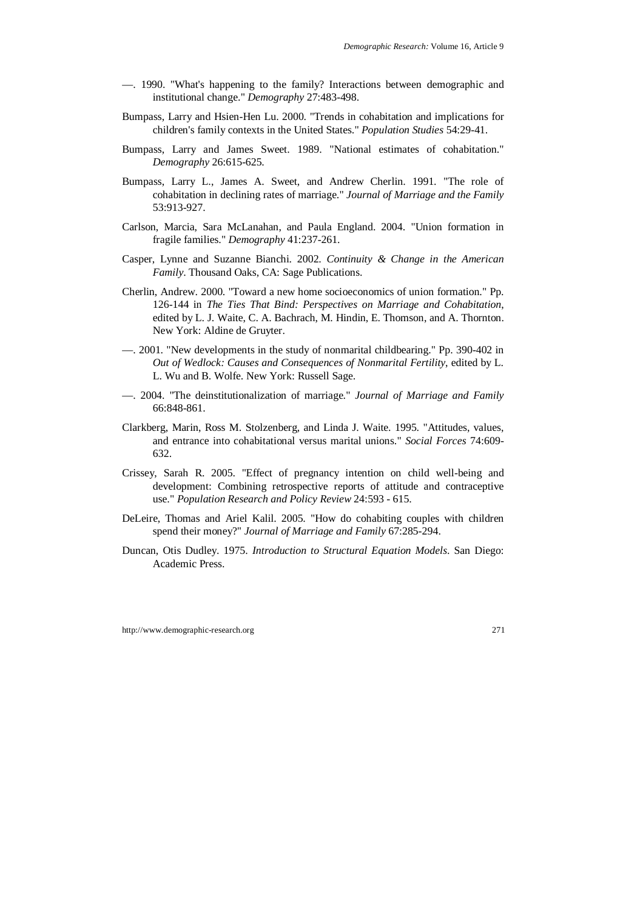- —. 1990. "What's happening to the family? Interactions between demographic and institutional change." *Demography* 27:483-498.
- Bumpass, Larry and Hsien-Hen Lu. 2000. "Trends in cohabitation and implications for children's family contexts in the United States." *Population Studies* 54:29-41.
- Bumpass, Larry and James Sweet. 1989. "National estimates of cohabitation." *Demography* 26:615-625.
- Bumpass, Larry L., James A. Sweet, and Andrew Cherlin. 1991. "The role of cohabitation in declining rates of marriage." *Journal of Marriage and the Family* 53:913-927.
- Carlson, Marcia, Sara McLanahan, and Paula England. 2004. "Union formation in fragile families." *Demography* 41:237-261.
- Casper, Lynne and Suzanne Bianchi. 2002. *Continuity & Change in the American Family*. Thousand Oaks, CA: Sage Publications.
- Cherlin, Andrew. 2000. "Toward a new home socioeconomics of union formation." Pp. 126-144 in *The Ties That Bind: Perspectives on Marriage and Cohabitation*, edited by L. J. Waite, C. A. Bachrach, M. Hindin, E. Thomson, and A. Thornton. New York: Aldine de Gruyter.
- —. 2001. "New developments in the study of nonmarital childbearing." Pp. 390-402 in *Out of Wedlock: Causes and Consequences of Nonmarital Fertility*, edited by L. L. Wu and B. Wolfe. New York: Russell Sage.
- —. 2004. "The deinstitutionalization of marriage." *Journal of Marriage and Family* 66:848-861.
- Clarkberg, Marin, Ross M. Stolzenberg, and Linda J. Waite. 1995. "Attitudes, values, and entrance into cohabitational versus marital unions." *Social Forces* 74:609- 632.
- Crissey, Sarah R. 2005. "Effect of pregnancy intention on child well-being and development: Combining retrospective reports of attitude and contraceptive use." *Population Research and Policy Review* 24:593 - 615.
- DeLeire, Thomas and Ariel Kalil. 2005. "How do cohabiting couples with children spend their money?" *Journal of Marriage and Family* 67:285-294.
- Duncan, Otis Dudley. 1975. *Introduction to Structural Equation Models*. San Diego: Academic Press.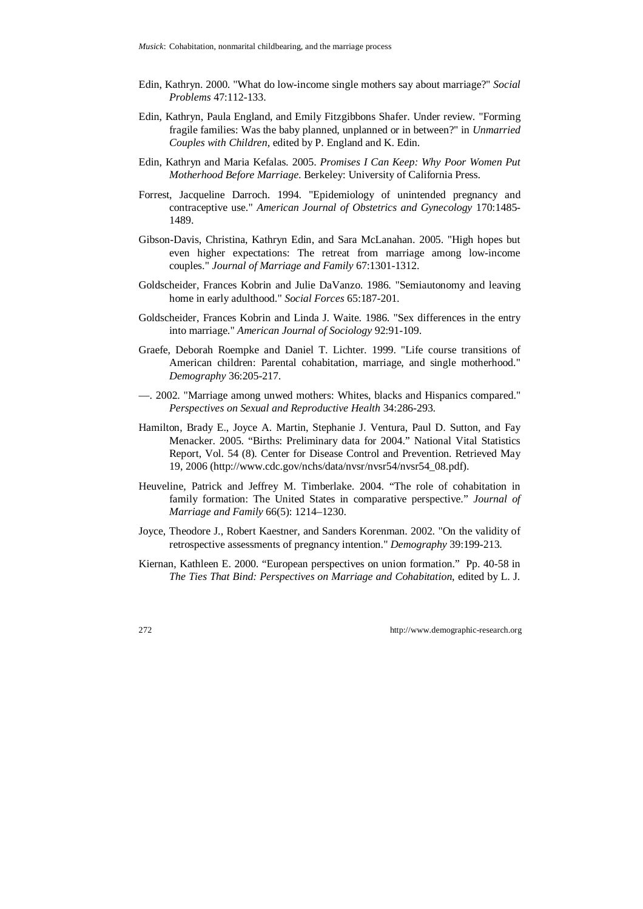- Edin, Kathryn. 2000. "What do low-income single mothers say about marriage?" *Social Problems* 47:112-133.
- Edin, Kathryn, Paula England, and Emily Fitzgibbons Shafer. Under review. "Forming fragile families: Was the baby planned, unplanned or in between?" in *Unmarried Couples with Children*, edited by P. England and K. Edin.
- Edin, Kathryn and Maria Kefalas. 2005. *Promises I Can Keep: Why Poor Women Put Motherhood Before Marriage*. Berkeley: University of California Press.
- Forrest, Jacqueline Darroch. 1994. "Epidemiology of unintended pregnancy and contraceptive use." *American Journal of Obstetrics and Gynecology* 170:1485- 1489.
- Gibson-Davis, Christina, Kathryn Edin, and Sara McLanahan. 2005. "High hopes but even higher expectations: The retreat from marriage among low-income couples." *Journal of Marriage and Family* 67:1301-1312.
- Goldscheider, Frances Kobrin and Julie DaVanzo. 1986. "Semiautonomy and leaving home in early adulthood." *Social Forces* 65:187-201.
- Goldscheider, Frances Kobrin and Linda J. Waite. 1986. "Sex differences in the entry into marriage." *American Journal of Sociology* 92:91-109.
- Graefe, Deborah Roempke and Daniel T. Lichter. 1999. "Life course transitions of American children: Parental cohabitation, marriage, and single motherhood." *Demography* 36:205-217.
- —. 2002. "Marriage among unwed mothers: Whites, blacks and Hispanics compared." *Perspectives on Sexual and Reproductive Health* 34:286-293.
- Hamilton, Brady E., Joyce A. Martin, Stephanie J. Ventura, Paul D. Sutton, and Fay Menacker. 2005. "Births: Preliminary data for 2004." National Vital Statistics Report, Vol. 54 (8). Center for Disease Control and Prevention. Retrieved May 19, 2006 (http://www.cdc.gov/nchs/data/nvsr/nvsr54/nvsr54\_08.pdf).
- Heuveline, Patrick and Jeffrey M. Timberlake. 2004. "The role of cohabitation in family formation: The United States in comparative perspective." *Journal of Marriage and Family* 66(5): 1214–1230.
- Joyce, Theodore J., Robert Kaestner, and Sanders Korenman. 2002. "On the validity of retrospective assessments of pregnancy intention." *Demography* 39:199-213.
- Kiernan, Kathleen E. 2000. "European perspectives on union formation." Pp. 40-58 in *The Ties That Bind: Perspectives on Marriage and Cohabitation*, edited by L. J.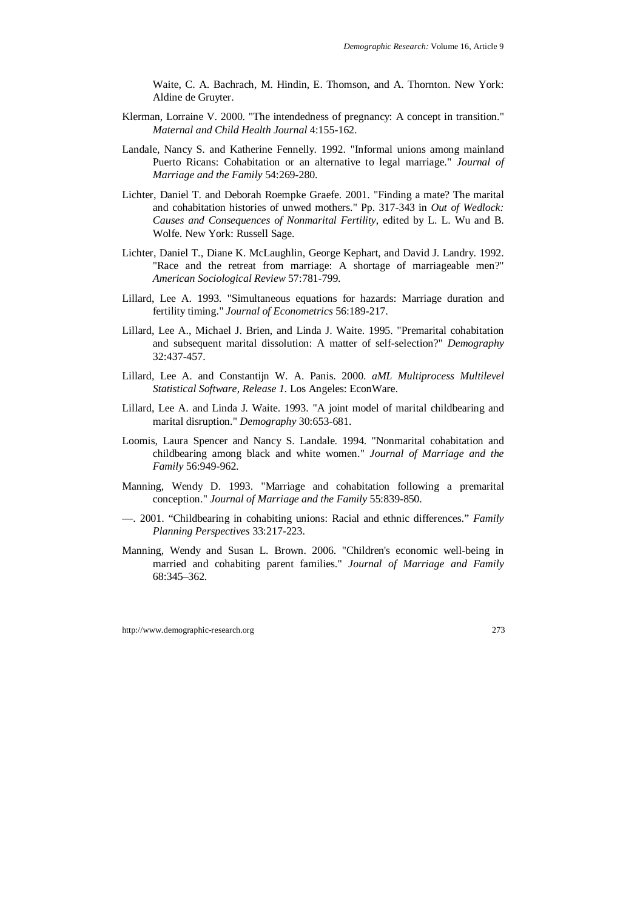Waite, C. A. Bachrach, M. Hindin, E. Thomson, and A. Thornton. New York: Aldine de Gruyter.

- Klerman, Lorraine V. 2000. "The intendedness of pregnancy: A concept in transition." *Maternal and Child Health Journal* 4:155-162.
- Landale, Nancy S. and Katherine Fennelly. 1992. "Informal unions among mainland Puerto Ricans: Cohabitation or an alternative to legal marriage." *Journal of Marriage and the Family* 54:269-280.
- Lichter, Daniel T. and Deborah Roempke Graefe. 2001. "Finding a mate? The marital and cohabitation histories of unwed mothers." Pp. 317-343 in *Out of Wedlock: Causes and Consequences of Nonmarital Fertility*, edited by L. L. Wu and B. Wolfe. New York: Russell Sage.
- Lichter, Daniel T., Diane K. McLaughlin, George Kephart, and David J. Landry. 1992. "Race and the retreat from marriage: A shortage of marriageable men?" *American Sociological Review* 57:781-799.
- Lillard, Lee A. 1993. "Simultaneous equations for hazards: Marriage duration and fertility timing." *Journal of Econometrics* 56:189-217.
- Lillard, Lee A., Michael J. Brien, and Linda J. Waite. 1995. "Premarital cohabitation and subsequent marital dissolution: A matter of self-selection?" *Demography* 32:437-457.
- Lillard, Lee A. and Constantijn W. A. Panis. 2000. *aML Multiprocess Multilevel Statistical Software, Release 1*. Los Angeles: EconWare.
- Lillard, Lee A. and Linda J. Waite. 1993. "A joint model of marital childbearing and marital disruption." *Demography* 30:653-681.
- Loomis, Laura Spencer and Nancy S. Landale. 1994. "Nonmarital cohabitation and childbearing among black and white women." *Journal of Marriage and the Family* 56:949-962.
- Manning, Wendy D. 1993. "Marriage and cohabitation following a premarital conception." *Journal of Marriage and the Family* 55:839-850.
- —. 2001. "Childbearing in cohabiting unions: Racial and ethnic differences." *Family Planning Perspectives* 33:217-223.
- Manning, Wendy and Susan L. Brown. 2006. "Children's economic well-being in married and cohabiting parent families." *Journal of Marriage and Family* 68:345–362.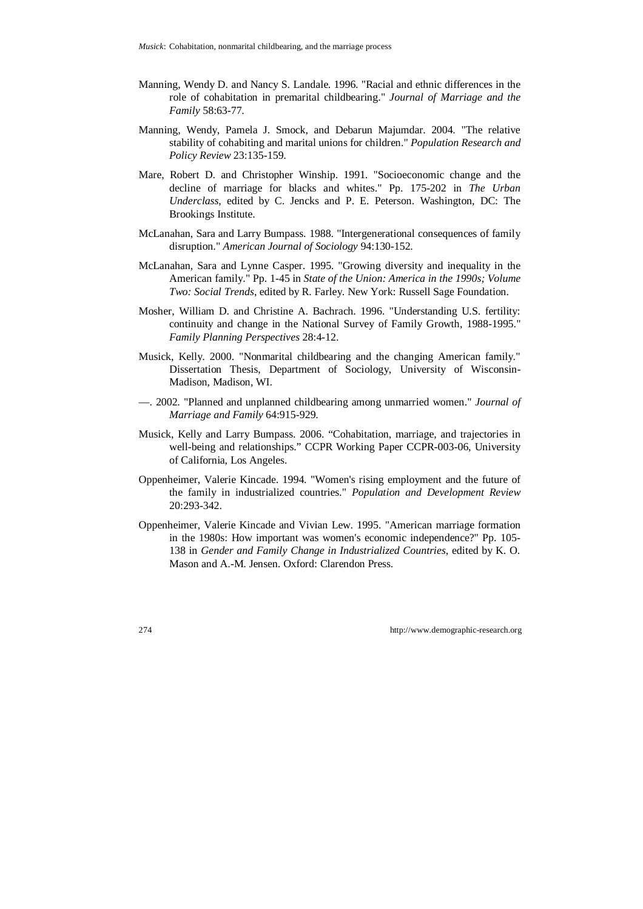- Manning, Wendy D. and Nancy S. Landale. 1996. "Racial and ethnic differences in the role of cohabitation in premarital childbearing." *Journal of Marriage and the Family* 58:63-77.
- Manning, Wendy, Pamela J. Smock, and Debarun Majumdar. 2004. "The relative stability of cohabiting and marital unions for children." *Population Research and Policy Review* 23:135-159.
- Mare, Robert D. and Christopher Winship. 1991. "Socioeconomic change and the decline of marriage for blacks and whites." Pp. 175-202 in *The Urban Underclass*, edited by C. Jencks and P. E. Peterson. Washington, DC: The Brookings Institute.
- McLanahan, Sara and Larry Bumpass. 1988. "Intergenerational consequences of family disruption." *American Journal of Sociology* 94:130-152.
- McLanahan, Sara and Lynne Casper. 1995. "Growing diversity and inequality in the American family." Pp. 1-45 in *State of the Union: America in the 1990s; Volume Two: Social Trends*, edited by R. Farley. New York: Russell Sage Foundation.
- Mosher, William D. and Christine A. Bachrach. 1996. "Understanding U.S. fertility: continuity and change in the National Survey of Family Growth, 1988-1995." *Family Planning Perspectives* 28:4-12.
- Musick, Kelly. 2000. "Nonmarital childbearing and the changing American family." Dissertation Thesis, Department of Sociology, University of Wisconsin-Madison, Madison, WI.
- —. 2002. "Planned and unplanned childbearing among unmarried women." *Journal of Marriage and Family* 64:915-929.
- Musick, Kelly and Larry Bumpass. 2006. "Cohabitation, marriage, and trajectories in well-being and relationships." CCPR Working Paper CCPR-003-06, University of California, Los Angeles.
- Oppenheimer, Valerie Kincade. 1994. "Women's rising employment and the future of the family in industrialized countries." *Population and Development Review* 20:293-342.
- Oppenheimer, Valerie Kincade and Vivian Lew. 1995. "American marriage formation in the 1980s: How important was women's economic independence?" Pp. 105- 138 in *Gender and Family Change in Industrialized Countries*, edited by K. O. Mason and A.-M. Jensen. Oxford: Clarendon Press.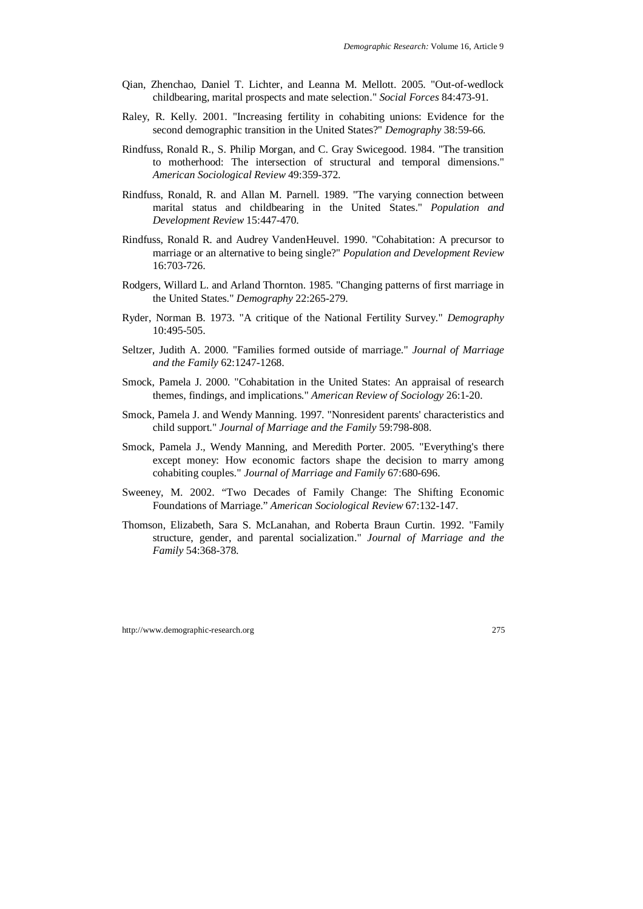- Qian, Zhenchao, Daniel T. Lichter, and Leanna M. Mellott. 2005. "Out-of-wedlock childbearing, marital prospects and mate selection." *Social Forces* 84:473-91.
- Raley, R. Kelly. 2001. "Increasing fertility in cohabiting unions: Evidence for the second demographic transition in the United States?" *Demography* 38:59-66.
- Rindfuss, Ronald R., S. Philip Morgan, and C. Gray Swicegood. 1984. "The transition to motherhood: The intersection of structural and temporal dimensions." *American Sociological Review* 49:359-372.
- Rindfuss, Ronald, R. and Allan M. Parnell. 1989. "The varying connection between marital status and childbearing in the United States." *Population and Development Review* 15:447-470.
- Rindfuss, Ronald R. and Audrey VandenHeuvel. 1990. "Cohabitation: A precursor to marriage or an alternative to being single?" *Population and Development Review* 16:703-726.
- Rodgers, Willard L. and Arland Thornton. 1985. "Changing patterns of first marriage in the United States." *Demography* 22:265-279.
- Ryder, Norman B. 1973. "A critique of the National Fertility Survey." *Demography* 10:495-505.
- Seltzer, Judith A. 2000. "Families formed outside of marriage." *Journal of Marriage and the Family* 62:1247-1268.
- Smock, Pamela J. 2000. "Cohabitation in the United States: An appraisal of research themes, findings, and implications." *American Review of Sociology* 26:1-20.
- Smock, Pamela J. and Wendy Manning. 1997. "Nonresident parents' characteristics and child support." *Journal of Marriage and the Family* 59:798-808.
- Smock, Pamela J., Wendy Manning, and Meredith Porter. 2005. "Everything's there except money: How economic factors shape the decision to marry among cohabiting couples." *Journal of Marriage and Family* 67:680-696.
- Sweeney, M. 2002. "Two Decades of Family Change: The Shifting Economic Foundations of Marriage." *American Sociological Review* 67:132-147.
- Thomson, Elizabeth, Sara S. McLanahan, and Roberta Braun Curtin. 1992. "Family structure, gender, and parental socialization." *Journal of Marriage and the Family* 54:368-378.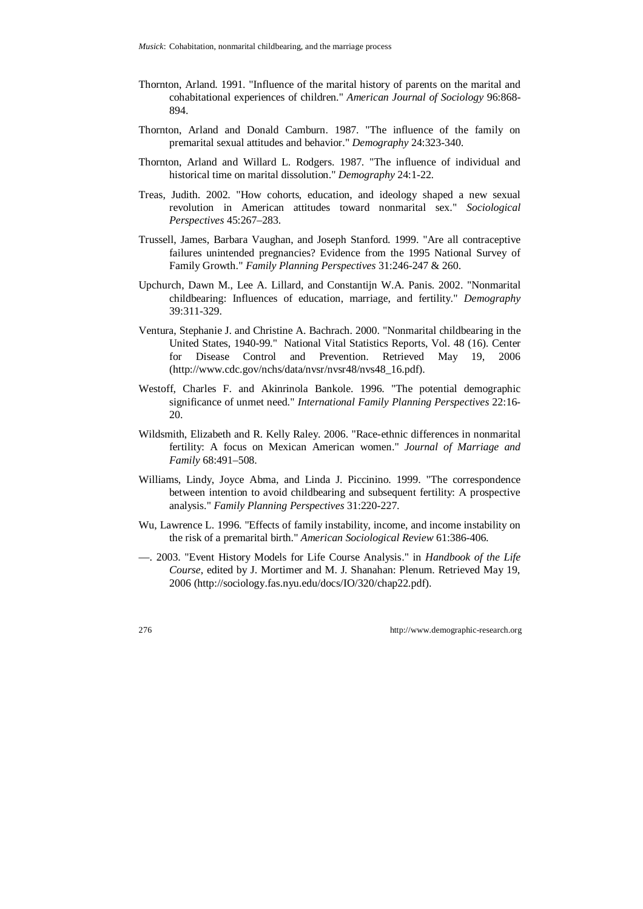- Thornton, Arland. 1991. "Influence of the marital history of parents on the marital and cohabitational experiences of children." *American Journal of Sociology* 96:868- 894.
- Thornton, Arland and Donald Camburn. 1987. "The influence of the family on premarital sexual attitudes and behavior." *Demography* 24:323-340.
- Thornton, Arland and Willard L. Rodgers. 1987. "The influence of individual and historical time on marital dissolution." *Demography* 24:1-22.
- Treas, Judith. 2002. "How cohorts, education, and ideology shaped a new sexual revolution in American attitudes toward nonmarital sex." *Sociological Perspectives* 45:267–283.
- Trussell, James, Barbara Vaughan, and Joseph Stanford. 1999. "Are all contraceptive failures unintended pregnancies? Evidence from the 1995 National Survey of Family Growth." *Family Planning Perspectives* 31:246-247 & 260.
- Upchurch, Dawn M., Lee A. Lillard, and Constantijn W.A. Panis. 2002. "Nonmarital childbearing: Influences of education, marriage, and fertility." *Demography* 39:311-329.
- Ventura, Stephanie J. and Christine A. Bachrach. 2000. "Nonmarital childbearing in the United States, 1940-99." National Vital Statistics Reports, Vol. 48 (16). Center for Disease Control and Prevention. Retrieved May 19, 2006 (http://www.cdc.gov/nchs/data/nvsr/nvsr48/nvs48\_16.pdf).
- Westoff, Charles F. and Akinrinola Bankole. 1996. "The potential demographic significance of unmet need." *International Family Planning Perspectives* 22:16- 20.
- Wildsmith, Elizabeth and R. Kelly Raley. 2006. "Race-ethnic differences in nonmarital fertility: A focus on Mexican American women." *Journal of Marriage and Family* 68:491–508.
- Williams, Lindy, Joyce Abma, and Linda J. Piccinino. 1999. "The correspondence between intention to avoid childbearing and subsequent fertility: A prospective analysis." *Family Planning Perspectives* 31:220-227.
- Wu, Lawrence L. 1996. "Effects of family instability, income, and income instability on the risk of a premarital birth." *American Sociological Review* 61:386-406.
- —. 2003. "Event History Models for Life Course Analysis." in *Handbook of the Life Course*, edited by J. Mortimer and M. J. Shanahan: Plenum. Retrieved May 19, 2006 (http://sociology.fas.nyu.edu/docs/IO/320/chap22.pdf).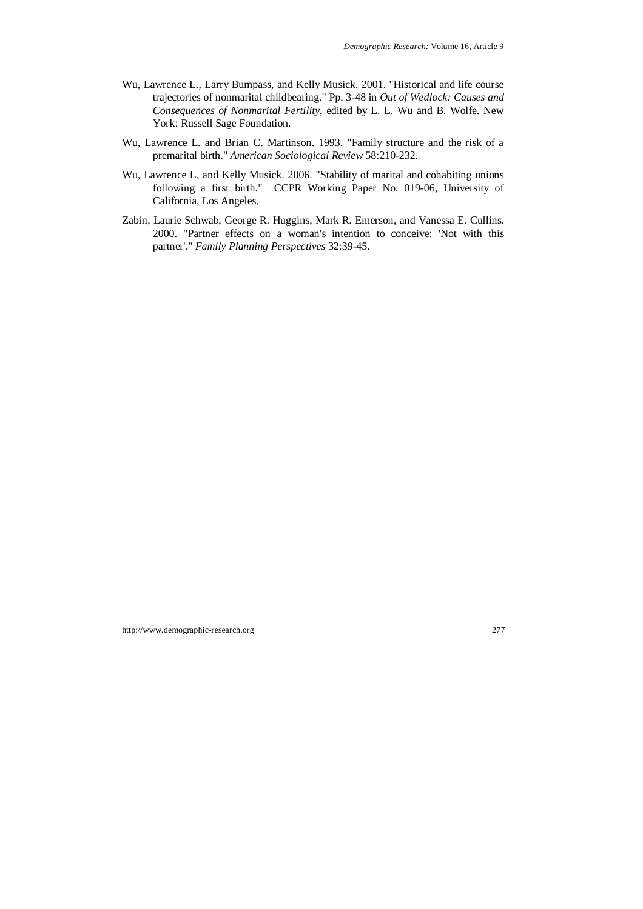- Wu, Lawrence L., Larry Bumpass, and Kelly Musick. 2001. "Historical and life course trajectories of nonmarital childbearing." Pp. 3-48 in *Out of Wedlock: Causes and Consequences of Nonmarital Fertility*, edited by L. L. Wu and B. Wolfe. New York: Russell Sage Foundation.
- Wu, Lawrence L. and Brian C. Martinson. 1993. "Family structure and the risk of a premarital birth." *American Sociological Review* 58:210-232.
- Wu, Lawrence L. and Kelly Musick. 2006. "Stability of marital and cohabiting unions following a first birth." CCPR Working Paper No. 019-06, University of California, Los Angeles.
- Zabin, Laurie Schwab, George R. Huggins, Mark R. Emerson, and Vanessa E. Cullins. 2000. "Partner effects on a woman's intention to conceive: 'Not with this partner'." *Family Planning Perspectives* 32:39-45.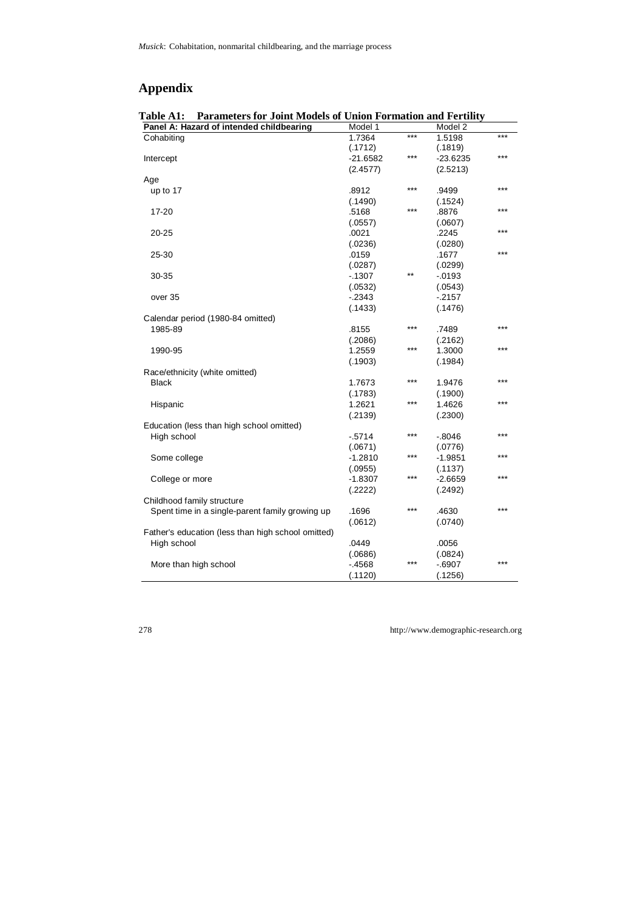# **Appendix**

| Parameters for Joint Models of Union Formation and Fertility<br><b>Table A1:</b> |            |       |            |       |  |
|----------------------------------------------------------------------------------|------------|-------|------------|-------|--|
| Panel A: Hazard of intended childbearing                                         | Model 1    |       | Model 2    |       |  |
| Cohabiting                                                                       | 1.7364     | $***$ | 1.5198     | $***$ |  |
|                                                                                  | (.1712)    |       | (.1819)    |       |  |
| Intercept                                                                        | $-21.6582$ | $***$ | $-23.6235$ | ***   |  |
|                                                                                  | (2.4577)   |       | (2.5213)   |       |  |
| Age                                                                              |            |       |            |       |  |
| up to 17                                                                         | .8912      | $***$ | .9499      | ***   |  |
|                                                                                  | (.1490)    |       | (.1524)    |       |  |
| 17-20                                                                            | .5168      | ***   | .8876      | ***   |  |
|                                                                                  | (.0557)    |       | (.0607)    |       |  |
| 20-25                                                                            | .0021      |       | .2245      | ***   |  |
|                                                                                  | (.0236)    |       | (.0280)    |       |  |
| 25-30                                                                            | .0159      |       | .1677      | ***   |  |
|                                                                                  | (.0287)    |       | (.0299)    |       |  |
| 30-35                                                                            | $-1307$    | $***$ | $-0193$    |       |  |
|                                                                                  | (.0532)    |       | (.0543)    |       |  |
| over 35                                                                          | $-2343$    |       | $-2157$    |       |  |
|                                                                                  | (.1433)    |       | (.1476)    |       |  |
| Calendar period (1980-84 omitted)                                                |            |       |            |       |  |
| 1985-89                                                                          | .8155      | $***$ | .7489      | ***   |  |
|                                                                                  | (.2086)    |       | (.2162)    |       |  |
|                                                                                  | 1.2559     | ***   | 1.3000     | ***   |  |
| 1990-95                                                                          |            |       |            |       |  |
|                                                                                  | (.1903)    |       | (.1984)    |       |  |
| Race/ethnicity (white omitted)                                                   |            | $***$ |            | ***   |  |
| <b>Black</b>                                                                     | 1.7673     |       | 1.9476     |       |  |
|                                                                                  | (.1783)    | ***   | (.1900)    | ***   |  |
| Hispanic                                                                         | 1.2621     |       | 1.4626     |       |  |
|                                                                                  | (.2139)    |       | (.2300)    |       |  |
| Education (less than high school omitted)                                        |            |       |            |       |  |
| High school                                                                      | $-5714$    | ***   | $-0.8046$  | ***   |  |
|                                                                                  | (.0671)    |       | (.0776)    |       |  |
| Some college                                                                     | $-1.2810$  | $***$ | $-1.9851$  | ***   |  |
|                                                                                  | (.0955)    |       | (.1137)    |       |  |
| College or more                                                                  | $-1.8307$  | ***   | $-2.6659$  | ***   |  |
|                                                                                  | (.2222)    |       | (.2492)    |       |  |
| Childhood family structure                                                       |            |       |            |       |  |
| Spent time in a single-parent family growing up                                  | .1696      | $***$ | .4630      | $***$ |  |
|                                                                                  | (.0612)    |       | (.0740)    |       |  |
| Father's education (less than high school omitted)                               |            |       |            |       |  |
| High school                                                                      | .0449      |       | .0056      |       |  |
|                                                                                  | (.0686)    |       | (.0824)    |       |  |
| More than high school                                                            | $-4568$    | $***$ | $-6907$    | ***   |  |
|                                                                                  | (.1120)    |       | (.1256)    |       |  |
|                                                                                  |            |       |            |       |  |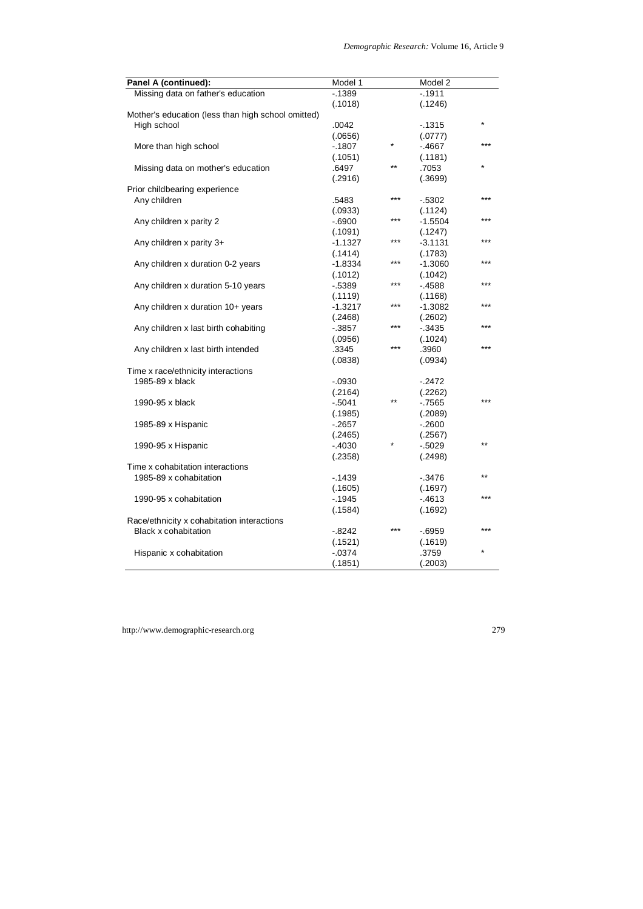| Panel A (continued):                               | Model 1   |         | Model 2   |       |
|----------------------------------------------------|-----------|---------|-----------|-------|
| Missing data on father's education                 | $-1389$   |         | $-1911$   |       |
|                                                    | (.1018)   |         | (.1246)   |       |
| Mother's education (less than high school omitted) |           |         |           |       |
| High school                                        | .0042     |         | $-1315$   |       |
|                                                    | (.0656)   |         | (.0777)   |       |
| More than high school                              | $-1807$   | $\star$ | $-4667$   |       |
|                                                    | (.1051)   |         | (.1181)   |       |
| Missing data on mother's education                 | .6497     | $***$   | .7053     |       |
|                                                    | (.2916)   |         | (.3699)   |       |
| Prior childbearing experience                      |           |         |           |       |
| Any children                                       | .5483     | ***     | $-0.5302$ | ***   |
|                                                    | (.0933)   |         | (.1124)   |       |
| Any children x parity 2                            | $-6900$   | ***     | -1.5504   |       |
|                                                    | (.1091)   |         | (.1247)   |       |
| Any children x parity 3+                           | $-1.1327$ | ***     | $-3.1131$ | ***   |
|                                                    | (.1414)   |         | (.1783)   |       |
| Any children x duration 0-2 years                  | $-1.8334$ | ***     | $-1.3060$ | ***   |
|                                                    | (.1012)   |         | (.1042)   |       |
| Any children x duration 5-10 years                 | $-5389$   | ***     | $-4588$   |       |
|                                                    | (.1119)   |         | (.1168)   |       |
| Any children x duration 10+ years                  | $-1.3217$ | ***     | $-1.3082$ | ***   |
|                                                    |           |         |           |       |
|                                                    | (.2468)   | ***     | (.2602)   |       |
| Any children x last birth cohabiting               | $-0.3857$ |         | $-0.3435$ |       |
|                                                    | (.0956)   | ***     | (.1024)   | ي پ پ |
| Any children x last birth intended                 | .3345     |         | .3960     |       |
|                                                    | (.0838)   |         | (.0934)   |       |
| Time x race/ethnicity interactions                 |           |         |           |       |
| 1985-89 x black                                    | $-0.0930$ |         | $-2472$   |       |
|                                                    | (.2164)   |         | (.2262)   | ***   |
| 1990-95 x black                                    | $-5041$   | $***$   | $-7565$   |       |
|                                                    | (.1985)   |         | (.2089)   |       |
| 1985-89 x Hispanic                                 | $-2657$   |         | $-2600$   |       |
|                                                    | (.2465)   |         | (.2567)   |       |
| 1990-95 x Hispanic                                 | $-4030$   |         | $-0.5029$ | $***$ |
|                                                    | (.2358)   |         | (.2498)   |       |
| Time x cohabitation interactions                   |           |         |           |       |
| 1985-89 x cohabitation                             | $-1439$   |         | $-0.3476$ | $***$ |
|                                                    | (.1605)   |         | (.1697)   |       |
| 1990-95 x cohabitation                             | $-1945$   |         | $-4613$   | ***   |
|                                                    | (.1584)   |         | (.1692)   |       |
| Race/ethnicity x cohabitation interactions         |           |         |           |       |
| <b>Black x cohabitation</b>                        | $-0.8242$ | ***     | $-0.6959$ | ***   |
|                                                    | (.1521)   |         | (.1619)   |       |
| Hispanic x cohabitation                            | $-0374$   |         | .3759     |       |
|                                                    | (.1851)   |         | (.2003)   |       |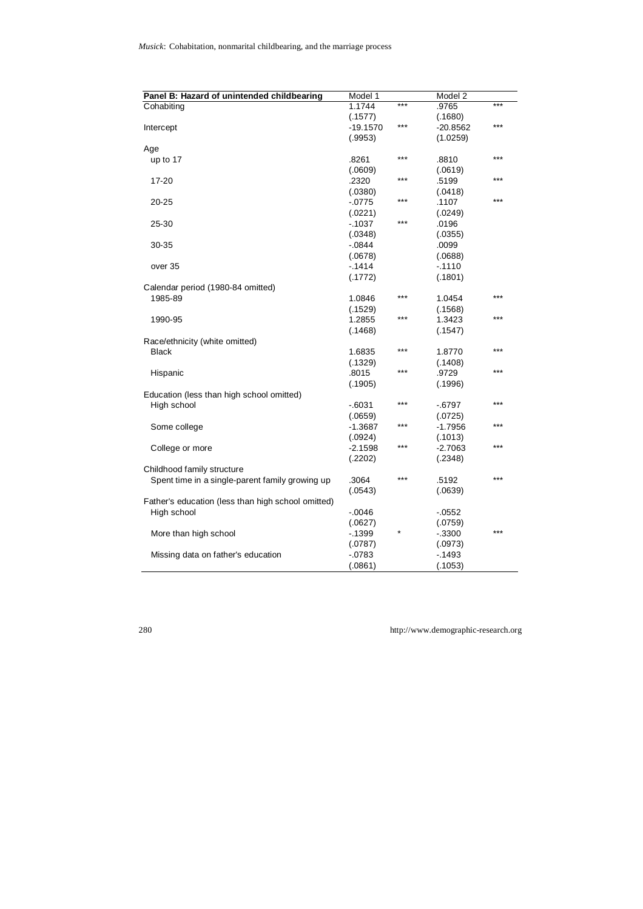| Panel B: Hazard of unintended childbearing         | Model 1    |       | Model 2    |       |
|----------------------------------------------------|------------|-------|------------|-------|
| Cohabiting                                         | 1.1744     | $***$ | .9765      | $***$ |
|                                                    | (.1577)    |       | (.1680)    |       |
| Intercept                                          | $-19.1570$ | ***   | $-20.8562$ | ***   |
|                                                    | (.9953)    |       | (1.0259)   |       |
| Age                                                |            |       |            |       |
| up to 17                                           | .8261      | $***$ | .8810      | ***   |
|                                                    | (.0609)    |       | (.0619)    |       |
| 17-20                                              | .2320      | ***   | .5199      | $***$ |
|                                                    | (.0380)    |       | (.0418)    |       |
| 20-25                                              | $-0775$    | ***   | .1107      | ***   |
|                                                    | (.0221)    |       | (.0249)    |       |
| 25-30                                              | $-1037$    | $***$ | .0196      |       |
|                                                    | (.0348)    |       | (.0355)    |       |
| 30-35                                              | $-0844$    |       | .0099      |       |
|                                                    | (.0678)    |       | (.0688)    |       |
| over 35                                            | $-1414$    |       | $-1110$    |       |
|                                                    | (.1772)    |       | (.1801)    |       |
| Calendar period (1980-84 omitted)                  |            |       |            |       |
| 1985-89                                            | 1.0846     | ***   | 1.0454     | $***$ |
|                                                    | (.1529)    |       | (.1568)    |       |
| 1990-95                                            | 1.2855     | ***   | 1.3423     |       |
|                                                    | (.1468)    |       | (.1547)    |       |
| Race/ethnicity (white omitted)                     |            |       |            |       |
| <b>Black</b>                                       | 1.6835     | $***$ | 1.8770     | $***$ |
|                                                    | (.1329)    |       | (.1408)    |       |
| Hispanic                                           | .8015      | $***$ | .9729      | ***   |
|                                                    | (.1905)    |       | (.1996)    |       |
| Education (less than high school omitted)          |            |       |            |       |
| High school                                        | $-6031$    | $***$ | $-6797$    | ***   |
|                                                    | (.0659)    |       | (.0725)    |       |
| Some college                                       | $-1.3687$  | ***   | $-1.7956$  | ***   |
|                                                    | (.0924)    |       | (.1013)    |       |
| College or more                                    | $-2.1598$  | ***   | $-2.7063$  | ***   |
|                                                    | (.2202)    |       | (.2348)    |       |
| Childhood family structure                         |            |       |            |       |
| Spent time in a single-parent family growing up    | .3064      | $***$ | .5192      | $***$ |
|                                                    | (.0543)    |       | (.0639)    |       |
| Father's education (less than high school omitted) |            |       |            |       |
| High school                                        | $-0.0046$  |       | $-0.0552$  |       |
|                                                    | (.0627)    |       | (.0759)    |       |
| More than high school                              | $-1399$    |       | $-0.3300$  | $***$ |
|                                                    | (.0787)    |       | (.0973)    |       |
| Missing data on father's education                 | $-0783$    |       | $-1493$    |       |
|                                                    | (.0861)    |       | (.1053)    |       |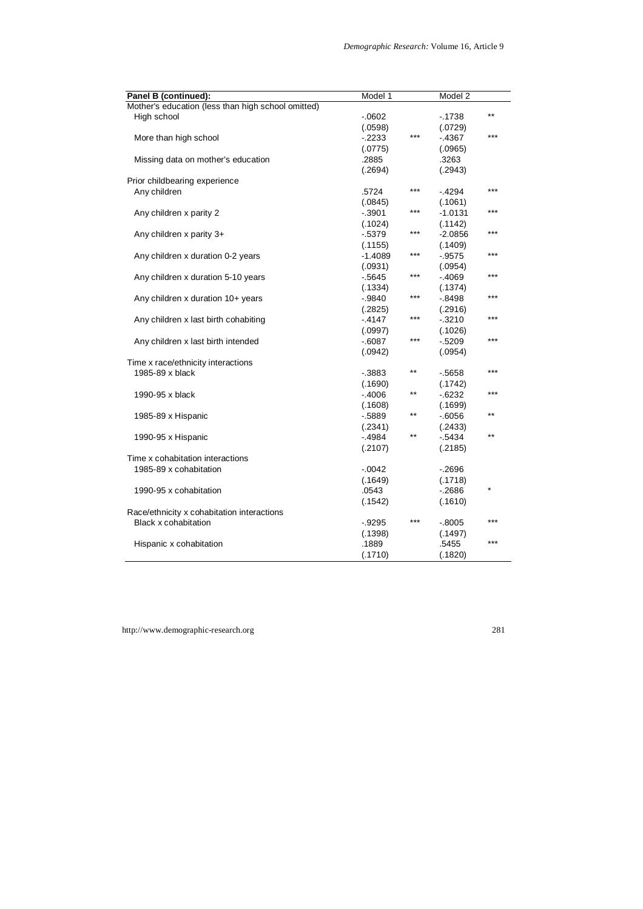| Panel B (continued):                               | Model 1   |       | Model 2   |         |
|----------------------------------------------------|-----------|-------|-----------|---------|
| Mother's education (less than high school omitted) |           |       |           |         |
| High school                                        | $-0602$   |       | $-1738$   | $***$   |
|                                                    | (.0598)   |       | (.0729)   |         |
| More than high school                              | $-2233$   | ***   | $-4367$   | $***$   |
|                                                    | (.0775)   |       | (.0965)   |         |
| Missing data on mother's education                 | .2885     |       | .3263     |         |
|                                                    | (.2694)   |       | (.2943)   |         |
| Prior childbearing experience                      |           |       |           |         |
| Any children                                       | .5724     | ***   | $-4294$   | $***$   |
|                                                    | (.0845)   |       | (.1061)   |         |
| Any children x parity 2                            | $-0.3901$ | ***   | $-1.0131$ | $***$   |
|                                                    | (.1024)   |       | (.1142)   |         |
| Any children x parity 3+                           | $-5379$   | ***   | $-2.0856$ | ***     |
|                                                    | (.1155)   |       | (.1409)   |         |
| Any children x duration 0-2 years                  | $-1.4089$ | ***   | $-0.9575$ | $***$   |
|                                                    | (.0931)   |       | (.0954)   |         |
| Any children x duration 5-10 years                 | $-5645$   | ***   | $-4069$   | $***$   |
|                                                    | (.1334)   |       | (.1374)   |         |
| Any children x duration 10+ years                  | $-.9840$  | ***   | $-0.8498$ | ***     |
|                                                    | (.2825)   |       | (.2916)   |         |
| Any children x last birth cohabiting               | $-4147$   | ***   | $-0.3210$ | ***     |
|                                                    | (.0997)   |       | (.1026)   |         |
| Any children x last birth intended                 | $-6087$   | ***   | $-5209$   | ***     |
|                                                    | (.0942)   |       | (.0954)   |         |
| Time x race/ethnicity interactions                 |           |       |           |         |
| 1985-89 x black                                    | $-3883$   | $***$ | $-5658$   | ***     |
|                                                    | (.1690)   |       | (.1742)   |         |
| 1990-95 x black                                    | $-4006$   | $***$ | $-6232$   | $***$   |
|                                                    | (.1608)   |       | (.1699)   |         |
| 1985-89 x Hispanic                                 | $-5889$   | $***$ | $-6056$   | $***$   |
|                                                    | (.2341)   |       | (.2433)   |         |
| 1990-95 x Hispanic                                 | $-4984$   | **    | $-0.5434$ | $***$   |
|                                                    | (.2107)   |       | (.2185)   |         |
| Time x cohabitation interactions                   |           |       |           |         |
| 1985-89 x cohabitation                             | $-0.0042$ |       | $-0.2696$ |         |
|                                                    | (.1649)   |       | (.1718)   |         |
| 1990-95 x cohabitation                             | .0543     |       | $-2686$   | $\star$ |
|                                                    | (.1542)   |       | (.1610)   |         |
| Race/ethnicity x cohabitation interactions         |           |       |           |         |
| <b>Black x cohabitation</b>                        | $-.9295$  | ***   | $-0.8005$ | $***$   |
|                                                    | (.1398)   |       | (.1497)   |         |
| Hispanic x cohabitation                            | .1889     |       | .5455     | ***     |
|                                                    | (.1710)   |       | (.1820)   |         |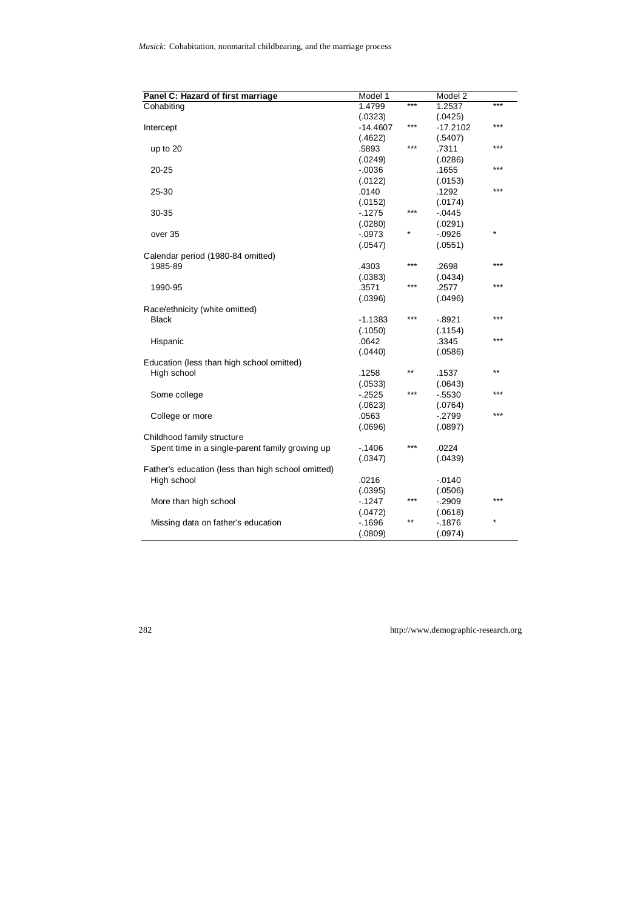| Panel C: Hazard of first marriage                  | Model 1    |       | Model 2   |         |
|----------------------------------------------------|------------|-------|-----------|---------|
| Cohabiting                                         | 1.4799     | ***   | 1.2537    | ***     |
|                                                    | (.0323)    |       | (.0425)   |         |
| Intercept                                          | $-14.4607$ | ***   | -17.2102  | ***     |
|                                                    | (.4622)    |       | (.5407)   |         |
| up to 20                                           | .5893      | ***   | .7311     | $***$   |
|                                                    | (.0249)    |       | (.0286)   |         |
| 20-25                                              | $-0.0036$  |       | .1655     | ***     |
|                                                    | (.0122)    |       | (.0153)   |         |
| 25-30                                              | .0140      |       | .1292     | ***     |
|                                                    | (.0152)    |       | (.0174)   |         |
| 30-35                                              | $-1275$    | ***   | $-0.0445$ |         |
|                                                    | (.0280)    |       | (.0291)   |         |
| over 35                                            | $-0973$    | ×     | $-0.0926$ | *       |
|                                                    | (.0547)    |       | (.0551)   |         |
| Calendar period (1980-84 omitted)                  |            |       |           |         |
| 1985-89                                            | .4303      | ***   | .2698     | ***     |
|                                                    | (.0383)    |       | (.0434)   |         |
| 1990-95                                            | .3571      | ***   | .2577     | ***     |
|                                                    | (.0396)    |       | (.0496)   |         |
| Race/ethnicity (white omitted)                     |            |       |           |         |
| <b>Black</b>                                       | $-1.1383$  | ***   | $-0.8921$ | ***     |
|                                                    | (.1050)    |       | (.1154)   |         |
| Hispanic                                           | .0642      |       | .3345     | ***     |
|                                                    | (.0440)    |       | (.0586)   |         |
| Education (less than high school omitted)          |            |       |           |         |
| High school                                        | .1258      | $***$ | .1537     | $***$   |
|                                                    | (.0533)    |       | (.0643)   |         |
| Some college                                       | $-2525$    | ***   | $-5530$   | ***     |
|                                                    | (.0623)    |       | (.0764)   |         |
| College or more                                    | .0563      |       | $-2799$   | ***     |
|                                                    |            |       |           |         |
|                                                    | (.0696)    |       | (.0897)   |         |
| Childhood family structure                         |            | ***   |           |         |
| Spent time in a single-parent family growing up    | $-1406$    |       | .0224     |         |
|                                                    | (.0347)    |       | (.0439)   |         |
| Father's education (less than high school omitted) |            |       |           |         |
| High school                                        | .0216      |       | $-0.0140$ |         |
|                                                    | (.0395)    |       | (.0506)   | ***     |
| More than high school                              | $-1247$    | ***   | $-.2909$  |         |
|                                                    | (.0472)    |       | (.0618)   |         |
| Missing data on father's education                 | $-1696$    | **    | $-1876$   | $\star$ |
|                                                    | (.0809)    |       | (.0974)   |         |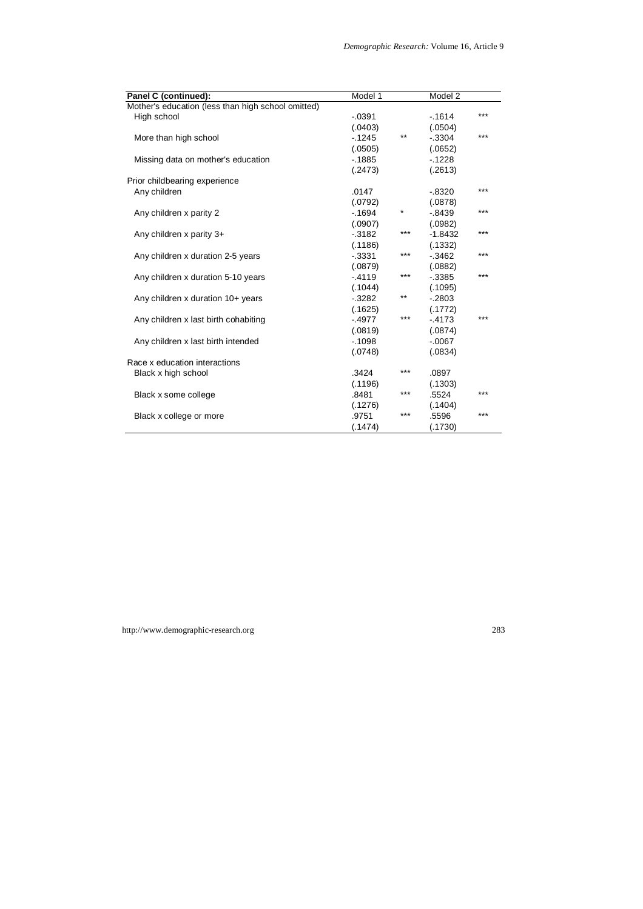| Panel C (continued):                               | Model 1   |         | Model 2   |     |
|----------------------------------------------------|-----------|---------|-----------|-----|
| Mother's education (less than high school omitted) |           |         |           |     |
| High school                                        | $-0.0391$ |         | $-1614$   | *** |
|                                                    | (.0403)   |         | (.0504)   |     |
| More than high school                              | $-1245$   | $***$   | $-0.3304$ | *** |
|                                                    | (.0505)   |         | (.0652)   |     |
| Missing data on mother's education                 | $-1885$   |         | $-1228$   |     |
|                                                    | (.2473)   |         | (.2613)   |     |
| Prior childbearing experience                      |           |         |           |     |
| Any children                                       | .0147     |         | $-0.8320$ | *** |
|                                                    | (.0792)   |         | (.0878)   |     |
| Any children x parity 2                            | $-1694$   | $\star$ | $-0.8439$ | *** |
|                                                    | (.0907)   |         | (.0982)   |     |
| Any children x parity 3+                           | $-3182$   | $***$   | $-1.8432$ | *** |
|                                                    | (.1186)   |         | (.1332)   |     |
| Any children x duration 2-5 years                  | $-0.3331$ | $***$   | $-3462$   | *** |
|                                                    | (.0879)   |         | (.0882)   |     |
| Any children x duration 5-10 years                 | $-4119$   | ***     | $-0.3385$ | *** |
|                                                    | (.1044)   |         | (.1095)   |     |
| Any children x duration $10+$ years                | $-3282$   | $***$   | $-2803$   |     |
|                                                    | (.1625)   |         | (.1772)   |     |
| Any children x last birth cohabiting               | $-4977$   | $***$   | $-4173$   | *** |
|                                                    | (.0819)   |         | (.0874)   |     |
| Any children x last birth intended                 | $-1098$   |         | $-0.067$  |     |
|                                                    | (.0748)   |         | (.0834)   |     |
| Race x education interactions                      |           |         |           |     |
| Black x high school                                | .3424     | ***     | .0897     |     |
|                                                    | (.1196)   |         | (.1303)   |     |
| Black x some college                               | .8481     | ***     | .5524     | *** |
|                                                    | (.1276)   |         | (.1404)   |     |
| Black x college or more                            | .9751     | ***     | .5596     | *** |
|                                                    | (.1474)   |         | (.1730)   |     |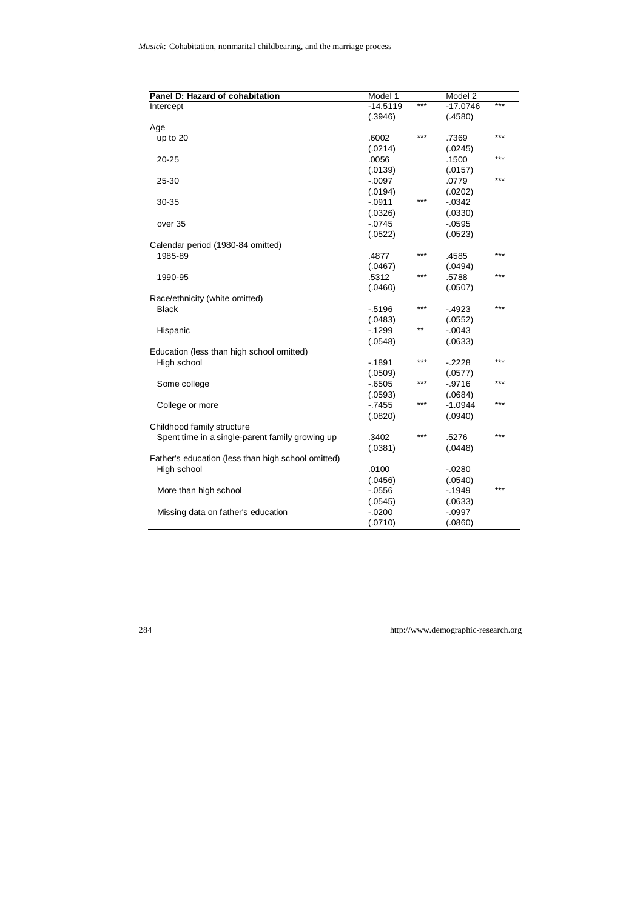| Panel D: Hazard of cohabitation                    | Model 1    |       | Model 2    |       |
|----------------------------------------------------|------------|-------|------------|-------|
| Intercept                                          | $-14.5119$ | $***$ | $-17.0746$ | $***$ |
|                                                    | (.3946)    |       | (.4580)    |       |
| Age                                                |            |       |            |       |
| up to 20                                           | .6002      | $***$ | .7369      | ***   |
|                                                    | (.0214)    |       | (.0245)    |       |
| 20-25                                              | .0056      |       | .1500      | $***$ |
|                                                    | (.0139)    |       | (.0157)    |       |
| 25-30                                              | $-0.097$   |       | .0779      | $***$ |
|                                                    | (.0194)    |       | (.0202)    |       |
| 30-35                                              | $-0.0911$  | $***$ | $-0.0342$  |       |
|                                                    | (.0326)    |       | (.0330)    |       |
| over 35                                            | $-0745$    |       | $-0.0595$  |       |
|                                                    | (.0522)    |       | (.0523)    |       |
| Calendar period (1980-84 omitted)                  |            |       |            |       |
| 1985-89                                            | .4877      | ***   | .4585      | $***$ |
|                                                    | (.0467)    |       | (.0494)    |       |
| 1990-95                                            | .5312      | $***$ | .5788      | $***$ |
|                                                    | (.0460)    |       | (.0507)    |       |
| Race/ethnicity (white omitted)                     |            |       |            |       |
| Black                                              | $-5196$    | $***$ | $-4923$    | $***$ |
|                                                    | (.0483)    |       | (.0552)    |       |
| Hispanic                                           | $-1299$    | $***$ | $-0.043$   |       |
|                                                    | (.0548)    |       | (.0633)    |       |
| Education (less than high school omitted)          |            |       |            |       |
| High school                                        | $-1891$    | ***   | $-2228$    | $***$ |
|                                                    | (.0509)    |       | (.0577)    |       |
| Some college                                       | $-6505$    | ***   | $-.9716$   | $***$ |
|                                                    | (.0593)    |       | (.0684)    |       |
| College or more                                    | $-7455$    | $***$ | $-1.0944$  | $***$ |
|                                                    | (.0820)    |       | (.0940)    |       |
| Childhood family structure                         |            |       |            |       |
| Spent time in a single-parent family growing up    | .3402      | $***$ | .5276      | $***$ |
|                                                    | (.0381)    |       | (.0448)    |       |
| Father's education (less than high school omitted) |            |       |            |       |
| High school                                        | .0100      |       | $-0280$    |       |
|                                                    | (.0456)    |       | (.0540)    |       |
| More than high school                              | $-0556$    |       | $-1949$    | $***$ |
|                                                    | (.0545)    |       | (.0633)    |       |
| Missing data on father's education                 | $-0200$    |       | $-.0997$   |       |
|                                                    | (.0710)    |       | (.0860)    |       |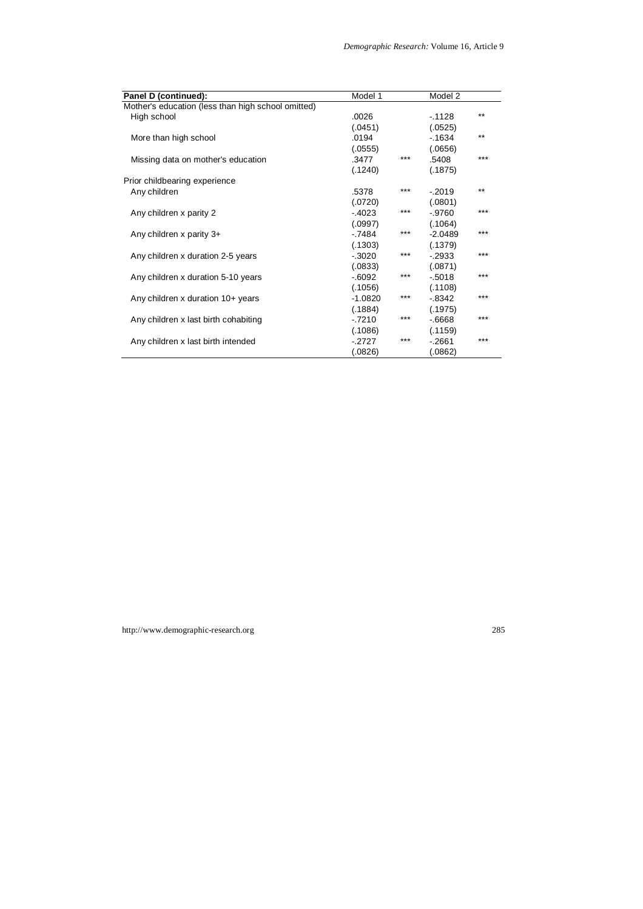| Panel D (continued):                               | Model 1   |       | Model 2   |       |
|----------------------------------------------------|-----------|-------|-----------|-------|
| Mother's education (less than high school omitted) |           |       |           |       |
| High school                                        | .0026     |       | $-.1128$  | $***$ |
|                                                    | (.0451)   |       | (.0525)   |       |
| More than high school                              | .0194     |       | $-1634$   | $***$ |
|                                                    | (.0555)   |       | (.0656)   |       |
| Missing data on mother's education                 | .3477     | ***   | .5408     | $***$ |
|                                                    | (.1240)   |       | (.1875)   |       |
| Prior childbearing experience                      |           |       |           |       |
| Any children                                       | .5378     | $***$ | $-.2019$  | $***$ |
|                                                    | (.0720)   |       | (.0801)   |       |
| Any children x parity 2                            | $-4023$   | ***   | $-0.9760$ | $***$ |
|                                                    | (.0997)   |       | (.1064)   |       |
| Any children x parity 3+                           | $-7484$   | ***   | $-2.0489$ | $***$ |
|                                                    | (.1303)   |       | (.1379)   |       |
| Any children x duration 2-5 years                  | $-.3020$  | ***   | $-2933$   | $***$ |
|                                                    | (.0833)   |       | (.0871)   |       |
| Any children x duration 5-10 years                 | $-0.6092$ | ***   | $-0.5018$ | $***$ |
|                                                    | (.1056)   |       | (.1108)   |       |
| Any children x duration $10+$ years                | $-1.0820$ | ***   | $-.8342$  | $***$ |
|                                                    | (.1884)   |       | (.1975)   |       |
| Any children x last birth cohabiting               | $-7210$   | ***   | $-6668$   | $***$ |
|                                                    | (.1086)   |       | (.1159)   |       |
| Any children x last birth intended                 | $-2727$   | ***   | $-2661$   | $***$ |
|                                                    | (.0826)   |       | (.0862)   |       |